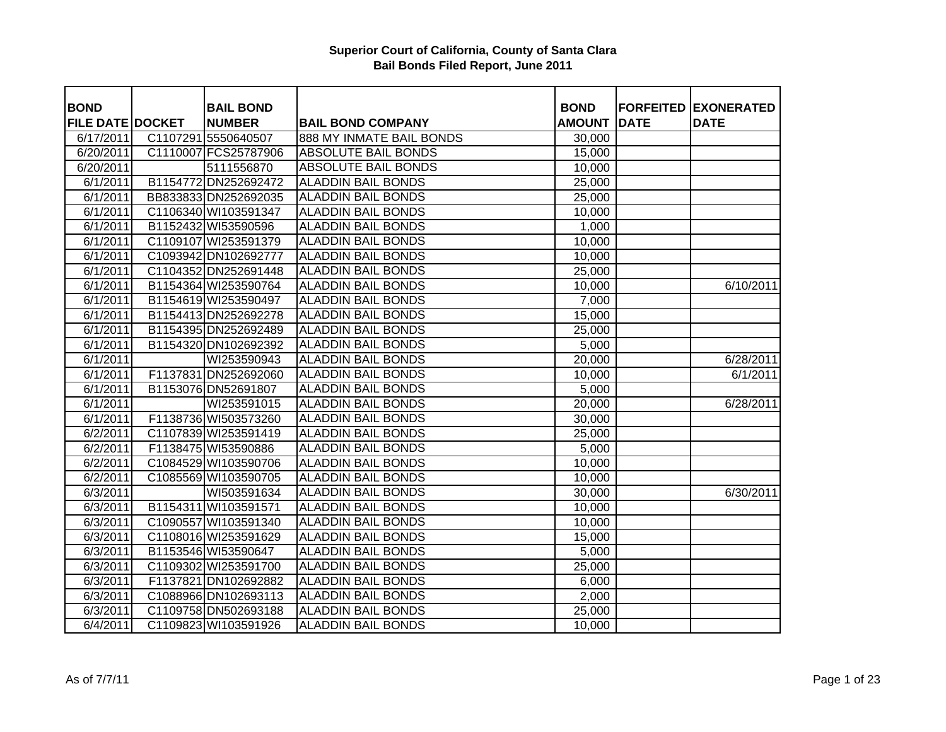| <b>BOND</b>             | <b>BAIL BOND</b>     |                            | <b>BOND</b>   |             | <b>FORFEITED EXONERATED</b> |
|-------------------------|----------------------|----------------------------|---------------|-------------|-----------------------------|
| <b>FILE DATE DOCKET</b> | <b>NUMBER</b>        | <b>BAIL BOND COMPANY</b>   | <b>AMOUNT</b> | <b>DATE</b> | <b>DATE</b>                 |
| 6/17/2011               | C1107291 5550640507  | 888 MY INMATE BAIL BONDS   | 30,000        |             |                             |
| 6/20/2011               | C1110007 FCS25787906 | <b>ABSOLUTE BAIL BONDS</b> | 15,000        |             |                             |
| 6/20/2011               | 5111556870           | <b>ABSOLUTE BAIL BONDS</b> | 10,000        |             |                             |
| 6/1/2011                | B1154772 DN252692472 | <b>ALADDIN BAIL BONDS</b>  | 25,000        |             |                             |
| 6/1/2011                | BB833833 DN252692035 | <b>ALADDIN BAIL BONDS</b>  | 25,000        |             |                             |
| 6/1/2011                | C1106340 WI103591347 | <b>ALADDIN BAIL BONDS</b>  | 10,000        |             |                             |
| 6/1/2011                | B1152432 WI53590596  | <b>ALADDIN BAIL BONDS</b>  | 1,000         |             |                             |
| 6/1/2011                | C1109107 WI253591379 | <b>ALADDIN BAIL BONDS</b>  | 10,000        |             |                             |
| 6/1/2011                | C1093942 DN102692777 | <b>ALADDIN BAIL BONDS</b>  | 10,000        |             |                             |
| 6/1/2011                | C1104352 DN252691448 | <b>ALADDIN BAIL BONDS</b>  | 25,000        |             |                             |
| 6/1/2011                | B1154364 WI253590764 | <b>ALADDIN BAIL BONDS</b>  | 10,000        |             | 6/10/2011                   |
| 6/1/2011                | B1154619 WI253590497 | <b>ALADDIN BAIL BONDS</b>  | 7,000         |             |                             |
| 6/1/2011                | B1154413 DN252692278 | <b>ALADDIN BAIL BONDS</b>  | 15,000        |             |                             |
| 6/1/2011                | B1154395 DN252692489 | <b>ALADDIN BAIL BONDS</b>  | 25,000        |             |                             |
| 6/1/2011                | B1154320 DN102692392 | <b>ALADDIN BAIL BONDS</b>  | 5,000         |             |                             |
| 6/1/2011                | WI253590943          | <b>ALADDIN BAIL BONDS</b>  | 20,000        |             | 6/28/2011                   |
| 6/1/2011                | F1137831 DN252692060 | <b>ALADDIN BAIL BONDS</b>  | 10,000        |             | 6/1/2011                    |
| 6/1/2011                | B1153076 DN52691807  | <b>ALADDIN BAIL BONDS</b>  | 5,000         |             |                             |
| 6/1/2011                | WI253591015          | <b>ALADDIN BAIL BONDS</b>  | 20,000        |             | 6/28/2011                   |
| 6/1/2011                | F1138736 WI503573260 | <b>ALADDIN BAIL BONDS</b>  | 30,000        |             |                             |
| 6/2/2011                | C1107839 WI253591419 | <b>ALADDIN BAIL BONDS</b>  | 25,000        |             |                             |
| 6/2/2011                | F1138475 WI53590886  | <b>ALADDIN BAIL BONDS</b>  | 5,000         |             |                             |
| 6/2/2011                | C1084529 WI103590706 | <b>ALADDIN BAIL BONDS</b>  | 10,000        |             |                             |
| 6/2/2011                | C1085569 WI103590705 | <b>ALADDIN BAIL BONDS</b>  | 10,000        |             |                             |
| 6/3/2011                | WI503591634          | <b>ALADDIN BAIL BONDS</b>  | 30,000        |             | 6/30/2011                   |
| 6/3/2011                | B1154311 WI103591571 | <b>ALADDIN BAIL BONDS</b>  | 10,000        |             |                             |
| 6/3/2011                | C1090557 WI103591340 | <b>ALADDIN BAIL BONDS</b>  | 10,000        |             |                             |
| 6/3/2011                | C1108016 WI253591629 | <b>ALADDIN BAIL BONDS</b>  | 15,000        |             |                             |
| 6/3/2011                | B1153546 WI53590647  | <b>ALADDIN BAIL BONDS</b>  | 5,000         |             |                             |
| 6/3/2011                | C1109302 WI253591700 | <b>ALADDIN BAIL BONDS</b>  | 25,000        |             |                             |
| 6/3/2011                | F1137821 DN102692882 | <b>ALADDIN BAIL BONDS</b>  | 6,000         |             |                             |
| 6/3/2011                | C1088966 DN102693113 | <b>ALADDIN BAIL BONDS</b>  | 2,000         |             |                             |
| 6/3/2011                | C1109758 DN502693188 | <b>ALADDIN BAIL BONDS</b>  | 25,000        |             |                             |
| 6/4/2011                | C1109823 WI103591926 | <b>ALADDIN BAIL BONDS</b>  | 10,000        |             |                             |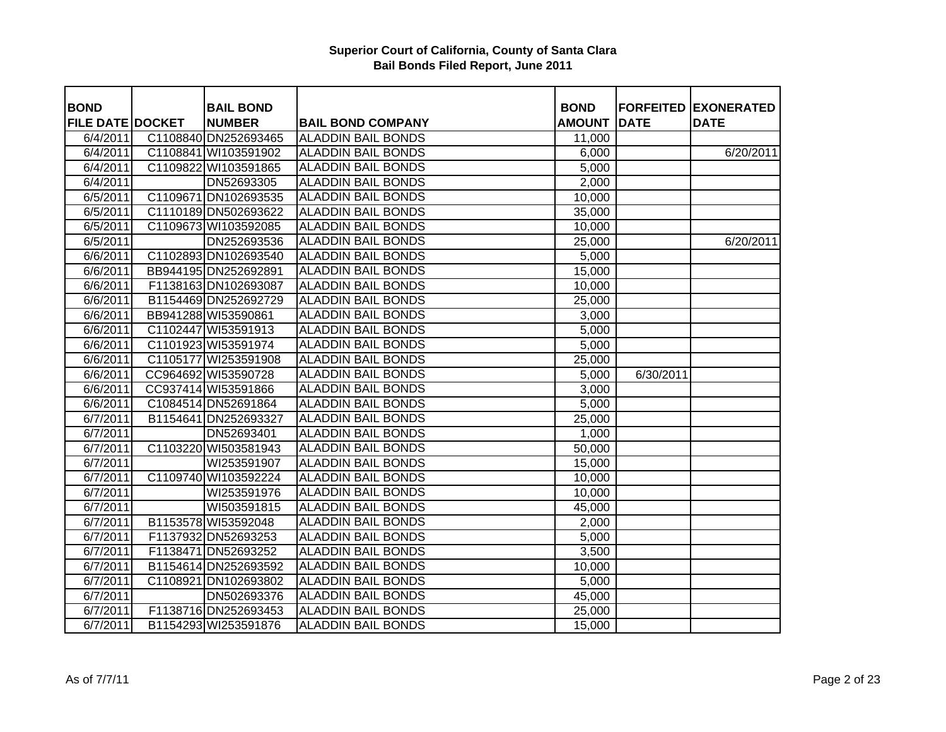| <b>BOND</b>             | <b>BAIL BOND</b>     |                           | <b>BOND</b>   |             | <b>FORFEITED EXONERATED</b> |
|-------------------------|----------------------|---------------------------|---------------|-------------|-----------------------------|
| <b>FILE DATE DOCKET</b> | <b>NUMBER</b>        | <b>BAIL BOND COMPANY</b>  | <b>AMOUNT</b> | <b>DATE</b> | <b>DATE</b>                 |
| 6/4/2011                | C1108840 DN252693465 | <b>ALADDIN BAIL BONDS</b> | 11,000        |             |                             |
| 6/4/2011                | C1108841 WI103591902 | <b>ALADDIN BAIL BONDS</b> | 6,000         |             | 6/20/2011                   |
| 6/4/2011                | C1109822 WI103591865 | <b>ALADDIN BAIL BONDS</b> | 5,000         |             |                             |
| 6/4/2011                | DN52693305           | <b>ALADDIN BAIL BONDS</b> | 2,000         |             |                             |
| 6/5/2011                | C1109671 DN102693535 | <b>ALADDIN BAIL BONDS</b> | 10,000        |             |                             |
| 6/5/2011                | C1110189 DN502693622 | <b>ALADDIN BAIL BONDS</b> | 35,000        |             |                             |
| 6/5/2011                | C1109673 WI103592085 | <b>ALADDIN BAIL BONDS</b> | 10,000        |             |                             |
| 6/5/2011                | DN252693536          | <b>ALADDIN BAIL BONDS</b> | 25,000        |             | 6/20/2011                   |
| 6/6/2011                | C1102893 DN102693540 | <b>ALADDIN BAIL BONDS</b> | 5,000         |             |                             |
| 6/6/2011                | BB944195 DN252692891 | <b>ALADDIN BAIL BONDS</b> | 15,000        |             |                             |
| 6/6/2011                | F1138163 DN102693087 | <b>ALADDIN BAIL BONDS</b> | 10,000        |             |                             |
| 6/6/2011                | B1154469 DN252692729 | <b>ALADDIN BAIL BONDS</b> | 25,000        |             |                             |
| 6/6/2011                | BB941288 WI53590861  | <b>ALADDIN BAIL BONDS</b> | 3,000         |             |                             |
| 6/6/2011                | C1102447 WI53591913  | <b>ALADDIN BAIL BONDS</b> | 5,000         |             |                             |
| 6/6/2011                | C1101923 WI53591974  | <b>ALADDIN BAIL BONDS</b> | 5,000         |             |                             |
| 6/6/2011                | C1105177 WI253591908 | <b>ALADDIN BAIL BONDS</b> | 25,000        |             |                             |
| 6/6/2011                | CC964692 WI53590728  | <b>ALADDIN BAIL BONDS</b> | 5,000         | 6/30/2011   |                             |
| 6/6/2011                | CC937414 WI53591866  | <b>ALADDIN BAIL BONDS</b> | 3,000         |             |                             |
| 6/6/2011                | C1084514 DN52691864  | <b>ALADDIN BAIL BONDS</b> | 5,000         |             |                             |
| 6/7/2011                | B1154641 DN252693327 | <b>ALADDIN BAIL BONDS</b> | 25,000        |             |                             |
| 6/7/2011                | DN52693401           | <b>ALADDIN BAIL BONDS</b> | 1,000         |             |                             |
| 6/7/2011                | C1103220 WI503581943 | <b>ALADDIN BAIL BONDS</b> | 50,000        |             |                             |
| 6/7/2011                | WI253591907          | <b>ALADDIN BAIL BONDS</b> | 15,000        |             |                             |
| 6/7/2011                | C1109740 WI103592224 | <b>ALADDIN BAIL BONDS</b> | 10,000        |             |                             |
| 6/7/2011                | WI253591976          | <b>ALADDIN BAIL BONDS</b> | 10,000        |             |                             |
| 6/7/2011                | WI503591815          | <b>ALADDIN BAIL BONDS</b> | 45,000        |             |                             |
| 6/7/2011                | B1153578 WI53592048  | <b>ALADDIN BAIL BONDS</b> | 2,000         |             |                             |
| 6/7/2011                | F1137932 DN52693253  | <b>ALADDIN BAIL BONDS</b> | 5,000         |             |                             |
| 6/7/2011                | F1138471 DN52693252  | <b>ALADDIN BAIL BONDS</b> | 3,500         |             |                             |
| 6/7/2011                | B1154614 DN252693592 | <b>ALADDIN BAIL BONDS</b> | 10,000        |             |                             |
| 6/7/2011                | C1108921 DN102693802 | <b>ALADDIN BAIL BONDS</b> | 5,000         |             |                             |
| 6/7/2011                | DN502693376          | <b>ALADDIN BAIL BONDS</b> | 45,000        |             |                             |
| 6/7/2011                | F1138716 DN252693453 | <b>ALADDIN BAIL BONDS</b> | 25,000        |             |                             |
| 6/7/2011                | B1154293 WI253591876 | <b>ALADDIN BAIL BONDS</b> | 15,000        |             |                             |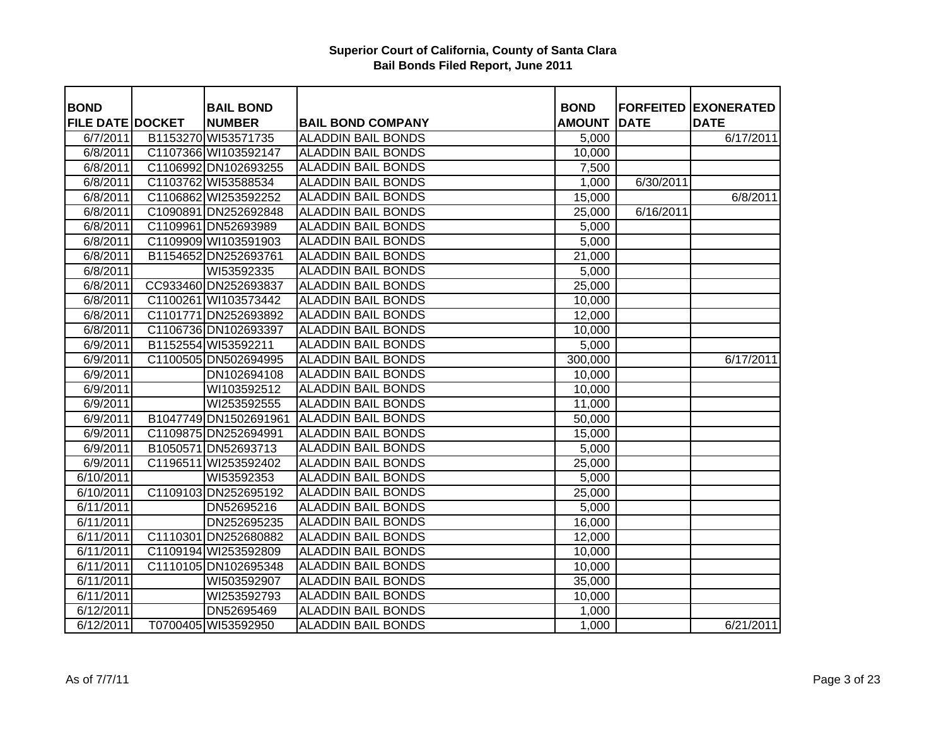| <b>BOND</b>             | <b>BAIL BOND</b>      |                           | <b>BOND</b>   |             | <b>FORFEITED EXONERATED</b> |
|-------------------------|-----------------------|---------------------------|---------------|-------------|-----------------------------|
| <b>FILE DATE DOCKET</b> | <b>NUMBER</b>         | <b>BAIL BOND COMPANY</b>  | <b>AMOUNT</b> | <b>DATE</b> | <b>DATE</b>                 |
| 6/7/2011                | B1153270 WI53571735   | <b>ALADDIN BAIL BONDS</b> | 5,000         |             | 6/17/2011                   |
| 6/8/2011                | C1107366 WI103592147  | <b>ALADDIN BAIL BONDS</b> | 10,000        |             |                             |
| 6/8/2011                | C1106992 DN102693255  | <b>ALADDIN BAIL BONDS</b> | 7,500         |             |                             |
| 6/8/2011                | C1103762 WI53588534   | <b>ALADDIN BAIL BONDS</b> | 1,000         | 6/30/2011   |                             |
| 6/8/2011                | C1106862 WI253592252  | <b>ALADDIN BAIL BONDS</b> | 15,000        |             | 6/8/2011                    |
| 6/8/2011                | C1090891 DN252692848  | <b>ALADDIN BAIL BONDS</b> | 25,000        | 6/16/2011   |                             |
| 6/8/2011                | C1109961 DN52693989   | <b>ALADDIN BAIL BONDS</b> | 5,000         |             |                             |
| 6/8/2011                | C1109909 WI103591903  | <b>ALADDIN BAIL BONDS</b> | 5,000         |             |                             |
| $\sqrt{6}/8/2011$       | B1154652 DN252693761  | <b>ALADDIN BAIL BONDS</b> | 21,000        |             |                             |
| 6/8/2011                | WI53592335            | <b>ALADDIN BAIL BONDS</b> | 5,000         |             |                             |
| 6/8/2011                | CC933460 DN252693837  | <b>ALADDIN BAIL BONDS</b> | 25,000        |             |                             |
| 6/8/2011                | C1100261 WI103573442  | <b>ALADDIN BAIL BONDS</b> | 10,000        |             |                             |
| 6/8/2011                | C1101771 DN252693892  | <b>ALADDIN BAIL BONDS</b> | 12,000        |             |                             |
| 6/8/2011                | C1106736 DN102693397  | <b>ALADDIN BAIL BONDS</b> | 10,000        |             |                             |
| 6/9/2011                | B1152554 WI53592211   | <b>ALADDIN BAIL BONDS</b> | 5,000         |             |                             |
| 6/9/2011                | C1100505 DN502694995  | <b>ALADDIN BAIL BONDS</b> | 300,000       |             | 6/17/2011                   |
| 6/9/2011                | DN102694108           | <b>ALADDIN BAIL BONDS</b> | 10,000        |             |                             |
| 6/9/2011                | WI103592512           | <b>ALADDIN BAIL BONDS</b> | 10,000        |             |                             |
| 6/9/2011                | WI253592555           | <b>ALADDIN BAIL BONDS</b> | 11,000        |             |                             |
| 6/9/2011                | B1047749 DN1502691961 | <b>ALADDIN BAIL BONDS</b> | 50,000        |             |                             |
| 6/9/2011                | C1109875 DN252694991  | <b>ALADDIN BAIL BONDS</b> | 15,000        |             |                             |
| 6/9/2011                | B1050571 DN52693713   | <b>ALADDIN BAIL BONDS</b> | 5,000         |             |                             |
| 6/9/2011                | C1196511 WI253592402  | <b>ALADDIN BAIL BONDS</b> | 25,000        |             |                             |
| $\sqrt{6/10/2011}$      | WI53592353            | <b>ALADDIN BAIL BONDS</b> | 5,000         |             |                             |
| 6/10/2011               | C1109103 DN252695192  | <b>ALADDIN BAIL BONDS</b> | 25,000        |             |                             |
| 6/11/2011               | DN52695216            | <b>ALADDIN BAIL BONDS</b> | 5,000         |             |                             |
| 6/11/2011               | DN252695235           | <b>ALADDIN BAIL BONDS</b> | 16,000        |             |                             |
| 6/11/2011               | C1110301 DN252680882  | <b>ALADDIN BAIL BONDS</b> | 12,000        |             |                             |
| 6/11/2011               | C1109194 WI253592809  | <b>ALADDIN BAIL BONDS</b> | 10,000        |             |                             |
| 6/11/2011               | C1110105 DN102695348  | <b>ALADDIN BAIL BONDS</b> | 10,000        |             |                             |
| 6/11/2011               | WI503592907           | <b>ALADDIN BAIL BONDS</b> | 35,000        |             |                             |
| 6/11/2011               | WI253592793           | <b>ALADDIN BAIL BONDS</b> | 10,000        |             |                             |
| 6/12/2011               | DN52695469            | <b>ALADDIN BAIL BONDS</b> | 1,000         |             |                             |
| 6/12/2011               | T0700405 WI53592950   | <b>ALADDIN BAIL BONDS</b> | 1,000         |             | 6/21/2011                   |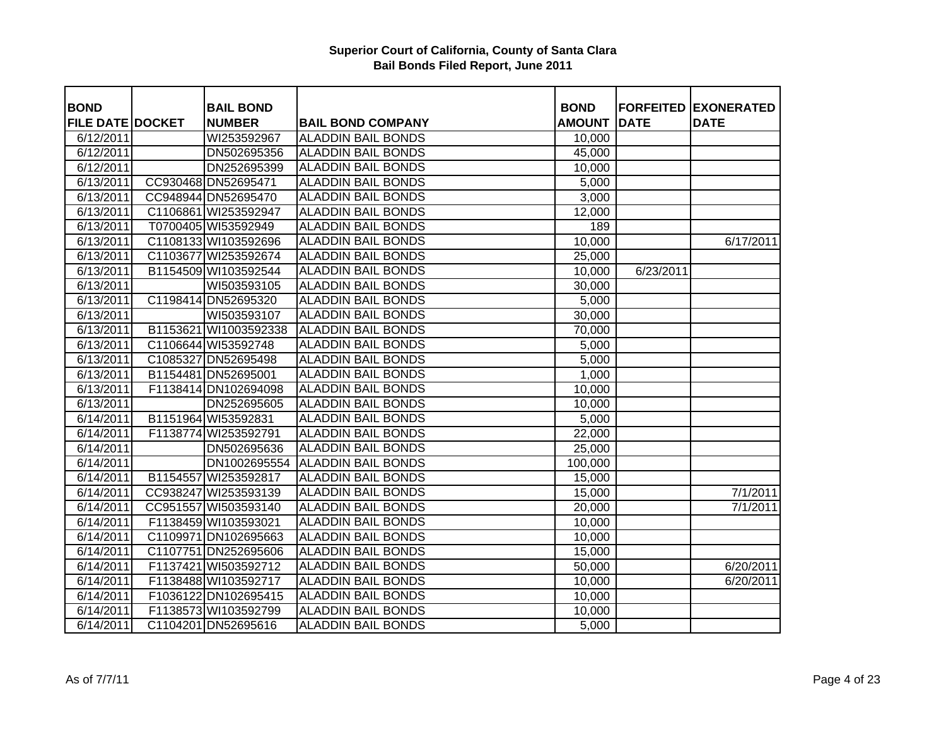| <b>BOND</b>             |          | <b>BAIL BOND</b>      |                           | <b>BOND</b>   |             | <b>FORFEITED EXONERATED</b> |
|-------------------------|----------|-----------------------|---------------------------|---------------|-------------|-----------------------------|
| <b>FILE DATE DOCKET</b> |          | <b>NUMBER</b>         | <b>BAIL BOND COMPANY</b>  | <b>AMOUNT</b> | <b>DATE</b> | <b>DATE</b>                 |
| 6/12/2011               |          | WI253592967           | <b>ALADDIN BAIL BONDS</b> | 10,000        |             |                             |
| 6/12/2011               |          | DN502695356           | <b>ALADDIN BAIL BONDS</b> | 45,000        |             |                             |
| 6/12/2011               |          | DN252695399           | <b>ALADDIN BAIL BONDS</b> | 10,000        |             |                             |
| 6/13/2011               |          | CC930468 DN52695471   | <b>ALADDIN BAIL BONDS</b> | 5,000         |             |                             |
| 6/13/2011               |          | CC948944 DN52695470   | <b>ALADDIN BAIL BONDS</b> | 3,000         |             |                             |
| 6/13/2011               |          | C1106861 WI253592947  | <b>ALADDIN BAIL BONDS</b> | 12,000        |             |                             |
| 6/13/2011               |          | T0700405 WI53592949   | <b>ALADDIN BAIL BONDS</b> | 189           |             |                             |
| 6/13/2011               |          | C1108133 WI103592696  | <b>ALADDIN BAIL BONDS</b> | 10,000        |             | 6/17/2011                   |
| $\sqrt{6}/13/2011$      |          | C1103677 WI253592674  | <b>ALADDIN BAIL BONDS</b> | 25,000        |             |                             |
| 6/13/2011               |          | B1154509 WI103592544  | <b>ALADDIN BAIL BONDS</b> | 10,000        | 6/23/2011   |                             |
| 6/13/2011               |          | WI503593105           | <b>ALADDIN BAIL BONDS</b> | 30,000        |             |                             |
| 6/13/2011               |          | C1198414 DN52695320   | <b>ALADDIN BAIL BONDS</b> | 5,000         |             |                             |
| 6/13/2011               |          | WI503593107           | <b>ALADDIN BAIL BONDS</b> | 30,000        |             |                             |
| 6/13/2011               |          | B1153621 WI1003592338 | <b>ALADDIN BAIL BONDS</b> | 70,000        |             |                             |
| 6/13/2011               |          | C1106644 WI53592748   | <b>ALADDIN BAIL BONDS</b> | 5,000         |             |                             |
| 6/13/2011               |          | C1085327 DN52695498   | <b>ALADDIN BAIL BONDS</b> | 5,000         |             |                             |
| 6/13/2011               |          | B1154481 DN52695001   | <b>ALADDIN BAIL BONDS</b> | 1,000         |             |                             |
| 6/13/2011               |          | F1138414 DN102694098  | <b>ALADDIN BAIL BONDS</b> | 10,000        |             |                             |
| 6/13/2011               |          | DN252695605           | <b>ALADDIN BAIL BONDS</b> | 10,000        |             |                             |
| 6/14/2011               |          | B1151964 WI53592831   | <b>ALADDIN BAIL BONDS</b> | 5,000         |             |                             |
| 6/14/2011               |          | F1138774 WI253592791  | <b>ALADDIN BAIL BONDS</b> | 22,000        |             |                             |
| 6/14/2011               |          | DN502695636           | <b>ALADDIN BAIL BONDS</b> | 25,000        |             |                             |
| 6/14/2011               |          | DN1002695554          | <b>ALADDIN BAIL BONDS</b> | 100,000       |             |                             |
| 6/14/2011               | B1154557 | WI253592817           | <b>ALADDIN BAIL BONDS</b> | 15,000        |             |                             |
| 6/14/2011               |          | CC938247 WI253593139  | <b>ALADDIN BAIL BONDS</b> | 15,000        |             | 7/1/2011                    |
| 6/14/2011               |          | CC951557 WI503593140  | <b>ALADDIN BAIL BONDS</b> | 20,000        |             | 7/1/2011                    |
| 6/14/2011               |          | F1138459 WI103593021  | <b>ALADDIN BAIL BONDS</b> | 10,000        |             |                             |
| 6/14/2011               |          | C1109971 DN102695663  | <b>ALADDIN BAIL BONDS</b> | 10,000        |             |                             |
| 6/14/2011               |          | C1107751 DN252695606  | <b>ALADDIN BAIL BONDS</b> | 15,000        |             |                             |
| 6/14/2011               |          | F1137421 WI503592712  | <b>ALADDIN BAIL BONDS</b> | 50,000        |             | 6/20/2011                   |
| $\sqrt{6}/14/2011$      |          | F1138488 WI103592717  | <b>ALADDIN BAIL BONDS</b> | 10,000        |             | 6/20/2011                   |
| 6/14/2011               |          | F1036122 DN102695415  | <b>ALADDIN BAIL BONDS</b> | 10,000        |             |                             |
| 6/14/2011               |          | F1138573 WI103592799  | <b>ALADDIN BAIL BONDS</b> | 10,000        |             |                             |
| 6/14/2011               |          | C1104201 DN52695616   | <b>ALADDIN BAIL BONDS</b> | 5,000         |             |                             |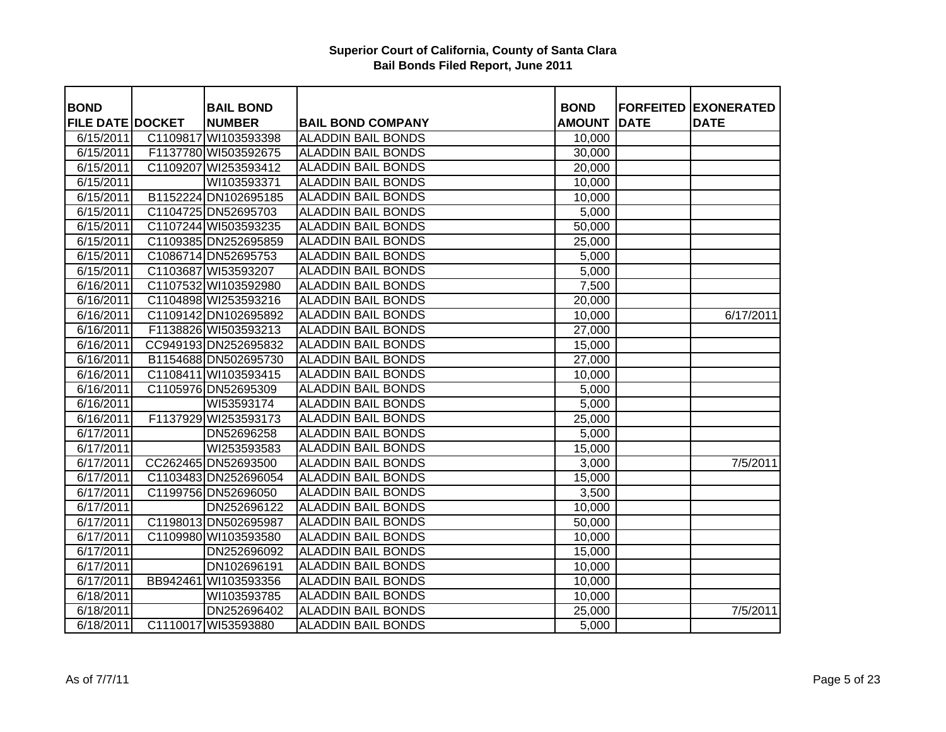| <b>BOND</b>             | <b>BAIL BOND</b>     |                           | <b>BOND</b>   |             | <b>FORFEITED EXONERATED</b> |
|-------------------------|----------------------|---------------------------|---------------|-------------|-----------------------------|
| <b>FILE DATE DOCKET</b> | <b>NUMBER</b>        | <b>BAIL BOND COMPANY</b>  | <b>AMOUNT</b> | <b>DATE</b> | <b>DATE</b>                 |
| 6/15/2011               | C1109817 WI103593398 | <b>ALADDIN BAIL BONDS</b> | 10,000        |             |                             |
| 6/15/2011               | F1137780 WI503592675 | <b>ALADDIN BAIL BONDS</b> | 30,000        |             |                             |
| 6/15/2011               | C1109207 WI253593412 | <b>ALADDIN BAIL BONDS</b> | 20,000        |             |                             |
| 6/15/2011               | WI103593371          | <b>ALADDIN BAIL BONDS</b> | 10,000        |             |                             |
| 6/15/2011               | B1152224 DN102695185 | <b>ALADDIN BAIL BONDS</b> | 10,000        |             |                             |
| 6/15/2011               | C1104725 DN52695703  | <b>ALADDIN BAIL BONDS</b> | 5,000         |             |                             |
| 6/15/2011               | C1107244 WI503593235 | <b>ALADDIN BAIL BONDS</b> | 50,000        |             |                             |
| 6/15/2011               | C1109385 DN252695859 | <b>ALADDIN BAIL BONDS</b> | 25,000        |             |                             |
| 6/15/2011               | C1086714 DN52695753  | <b>ALADDIN BAIL BONDS</b> | 5,000         |             |                             |
| 6/15/2011               | C1103687 WI53593207  | <b>ALADDIN BAIL BONDS</b> | 5,000         |             |                             |
| 6/16/2011               | C1107532 WI103592980 | <b>ALADDIN BAIL BONDS</b> | 7,500         |             |                             |
| 6/16/2011               | C1104898 WI253593216 | <b>ALADDIN BAIL BONDS</b> | 20,000        |             |                             |
| 6/16/2011               | C1109142 DN102695892 | <b>ALADDIN BAIL BONDS</b> | 10,000        |             | 6/17/2011                   |
| 6/16/2011               | F1138826 WI503593213 | <b>ALADDIN BAIL BONDS</b> | 27,000        |             |                             |
| 6/16/2011               | CC949193 DN252695832 | <b>ALADDIN BAIL BONDS</b> | 15,000        |             |                             |
| 6/16/2011               | B1154688 DN502695730 | <b>ALADDIN BAIL BONDS</b> | 27,000        |             |                             |
| 6/16/2011               | C1108411 WI103593415 | <b>ALADDIN BAIL BONDS</b> | 10,000        |             |                             |
| 6/16/2011               | C1105976 DN52695309  | <b>ALADDIN BAIL BONDS</b> | 5,000         |             |                             |
| 6/16/2011               | WI53593174           | <b>ALADDIN BAIL BONDS</b> | 5,000         |             |                             |
| 6/16/2011               | F1137929 WI253593173 | <b>ALADDIN BAIL BONDS</b> | 25,000        |             |                             |
| 6/17/2011               | DN52696258           | <b>ALADDIN BAIL BONDS</b> | 5,000         |             |                             |
| 6/17/2011               | WI253593583          | <b>ALADDIN BAIL BONDS</b> | 15,000        |             |                             |
| 6/17/2011               | CC262465 DN52693500  | <b>ALADDIN BAIL BONDS</b> | 3,000         |             | 7/5/2011                    |
| $\sqrt{6}/17/2011$      | C1103483 DN252696054 | <b>ALADDIN BAIL BONDS</b> | 15,000        |             |                             |
| 6/17/2011               | C1199756 DN52696050  | <b>ALADDIN BAIL BONDS</b> | 3,500         |             |                             |
| 6/17/2011               | DN252696122          | <b>ALADDIN BAIL BONDS</b> | 10,000        |             |                             |
| 6/17/2011               | C1198013 DN502695987 | <b>ALADDIN BAIL BONDS</b> | 50,000        |             |                             |
| 6/17/2011               | C1109980 WI103593580 | <b>ALADDIN BAIL BONDS</b> | 10,000        |             |                             |
| 6/17/2011               | DN252696092          | <b>ALADDIN BAIL BONDS</b> | 15,000        |             |                             |
| 6/17/2011               | DN102696191          | <b>ALADDIN BAIL BONDS</b> | 10,000        |             |                             |
| 6/17/2011               | BB942461 WI103593356 | <b>ALADDIN BAIL BONDS</b> | 10,000        |             |                             |
| 6/18/2011               | WI103593785          | <b>ALADDIN BAIL BONDS</b> | 10,000        |             |                             |
| 6/18/2011               | DN252696402          | <b>ALADDIN BAIL BONDS</b> | 25,000        |             | 7/5/2011                    |
| 6/18/2011               | C1110017 WI53593880  | <b>ALADDIN BAIL BONDS</b> | 5,000         |             |                             |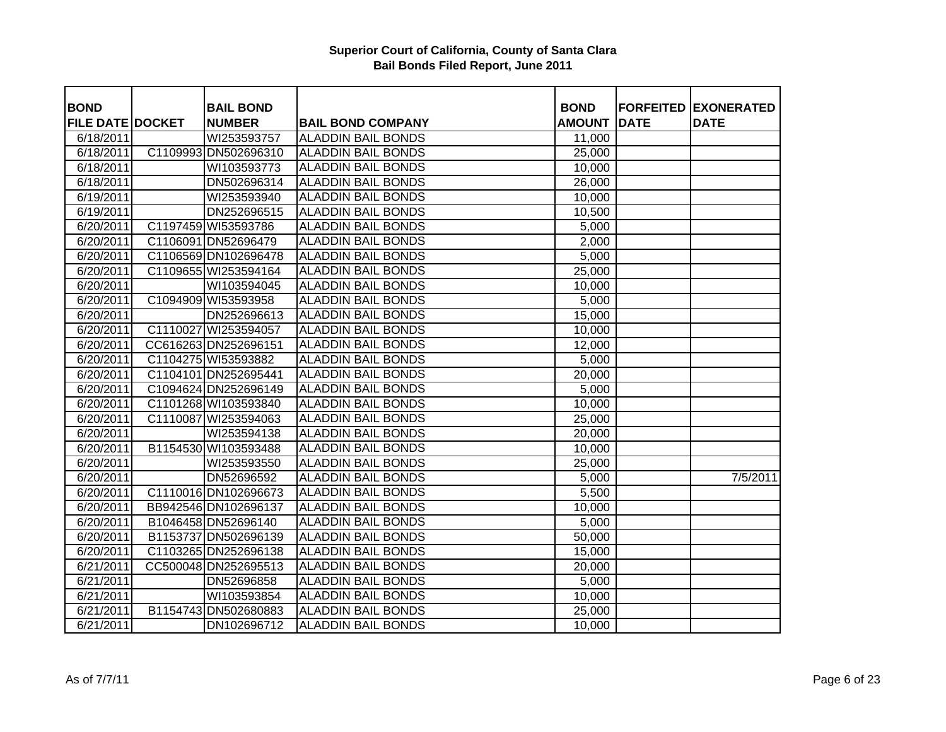| <b>BOND</b>             | <b>BAIL BOND</b>     |                           | <b>BOND</b>   |             | <b>FORFEITED EXONERATED</b> |
|-------------------------|----------------------|---------------------------|---------------|-------------|-----------------------------|
| <b>FILE DATE DOCKET</b> | <b>NUMBER</b>        | <b>BAIL BOND COMPANY</b>  | <b>AMOUNT</b> | <b>DATE</b> | <b>DATE</b>                 |
| 6/18/2011               | WI253593757          | <b>ALADDIN BAIL BONDS</b> | 11,000        |             |                             |
| 6/18/2011               | C1109993 DN502696310 | <b>ALADDIN BAIL BONDS</b> | 25,000        |             |                             |
| 6/18/2011               | WI103593773          | <b>ALADDIN BAIL BONDS</b> | 10,000        |             |                             |
| 6/18/2011               | DN502696314          | <b>ALADDIN BAIL BONDS</b> | 26,000        |             |                             |
| 6/19/2011               | WI253593940          | <b>ALADDIN BAIL BONDS</b> | 10,000        |             |                             |
| 6/19/2011               | DN252696515          | <b>ALADDIN BAIL BONDS</b> | 10,500        |             |                             |
| 6/20/2011               | C1197459 WI53593786  | <b>ALADDIN BAIL BONDS</b> | 5,000         |             |                             |
| 6/20/2011               | C1106091 DN52696479  | <b>ALADDIN BAIL BONDS</b> | 2,000         |             |                             |
| 6/20/2011               | C1106569 DN102696478 | <b>ALADDIN BAIL BONDS</b> | 5,000         |             |                             |
| 6/20/2011               | C1109655 WI253594164 | <b>ALADDIN BAIL BONDS</b> | 25,000        |             |                             |
| 6/20/2011               | WI103594045          | <b>ALADDIN BAIL BONDS</b> | 10,000        |             |                             |
| 6/20/2011               | C1094909 WI53593958  | <b>ALADDIN BAIL BONDS</b> | 5,000         |             |                             |
| 6/20/2011               | DN252696613          | <b>ALADDIN BAIL BONDS</b> | 15,000        |             |                             |
| 6/20/2011               | C1110027 WI253594057 | <b>ALADDIN BAIL BONDS</b> | 10,000        |             |                             |
| 6/20/2011               | CC616263 DN252696151 | <b>ALADDIN BAIL BONDS</b> | 12,000        |             |                             |
| 6/20/2011               | C1104275 WI53593882  | <b>ALADDIN BAIL BONDS</b> | 5,000         |             |                             |
| 6/20/2011               | C1104101 DN252695441 | <b>ALADDIN BAIL BONDS</b> | 20,000        |             |                             |
| 6/20/2011               | C1094624 DN252696149 | <b>ALADDIN BAIL BONDS</b> | 5,000         |             |                             |
| 6/20/2011               | C1101268 WI103593840 | <b>ALADDIN BAIL BONDS</b> | 10,000        |             |                             |
| 6/20/2011               | C1110087 WI253594063 | <b>ALADDIN BAIL BONDS</b> | 25,000        |             |                             |
| 6/20/2011               | WI253594138          | <b>ALADDIN BAIL BONDS</b> | 20,000        |             |                             |
| 6/20/2011               | B1154530 WI103593488 | <b>ALADDIN BAIL BONDS</b> | 10,000        |             |                             |
| 6/20/2011               | WI253593550          | <b>ALADDIN BAIL BONDS</b> | 25,000        |             |                             |
| 6/20/2011               | DN52696592           | <b>ALADDIN BAIL BONDS</b> | 5,000         |             | 7/5/2011                    |
| 6/20/2011               | C1110016 DN102696673 | <b>ALADDIN BAIL BONDS</b> | 5,500         |             |                             |
| 6/20/2011               | BB942546 DN102696137 | <b>ALADDIN BAIL BONDS</b> | 10,000        |             |                             |
| 6/20/2011               | B1046458 DN52696140  | <b>ALADDIN BAIL BONDS</b> | 5,000         |             |                             |
| 6/20/2011               | B1153737 DN502696139 | <b>ALADDIN BAIL BONDS</b> | 50,000        |             |                             |
| 6/20/2011               | C1103265 DN252696138 | <b>ALADDIN BAIL BONDS</b> | 15,000        |             |                             |
| 6/21/2011               | CC500048 DN252695513 | <b>ALADDIN BAIL BONDS</b> | 20,000        |             |                             |
| 6/21/2011               | DN52696858           | <b>ALADDIN BAIL BONDS</b> | 5,000         |             |                             |
| 6/21/2011               | WI103593854          | <b>ALADDIN BAIL BONDS</b> | 10,000        |             |                             |
| 6/21/2011               | B1154743 DN502680883 | <b>ALADDIN BAIL BONDS</b> | 25,000        |             |                             |
| 6/21/2011               | DN102696712          | <b>ALADDIN BAIL BONDS</b> | 10,000        |             |                             |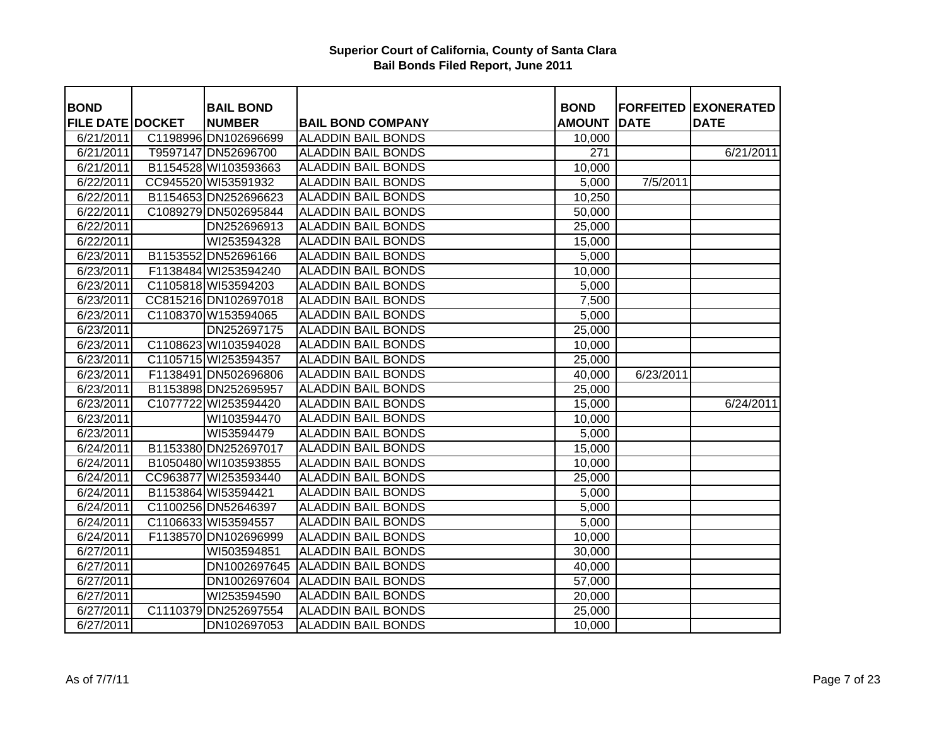| <b>BOND</b>             | <b>BAIL BOND</b>     |                                 | <b>BOND</b>   |             | <b>FORFEITED EXONERATED</b> |
|-------------------------|----------------------|---------------------------------|---------------|-------------|-----------------------------|
| <b>FILE DATE DOCKET</b> | <b>NUMBER</b>        | <b>BAIL BOND COMPANY</b>        | <b>AMOUNT</b> | <b>DATE</b> | <b>DATE</b>                 |
| 6/21/2011               | C1198996 DN102696699 | <b>ALADDIN BAIL BONDS</b>       | 10,000        |             |                             |
| 6/21/2011               | T9597147 DN52696700  | <b>ALADDIN BAIL BONDS</b>       | 271           |             | 6/21/2011                   |
| 6/21/2011               | B1154528 WI103593663 | <b>ALADDIN BAIL BONDS</b>       | 10,000        |             |                             |
| 6/22/2011               | CC945520 WI53591932  | <b>ALADDIN BAIL BONDS</b>       | 5,000         | 7/5/2011    |                             |
| 6/22/2011               | B1154653 DN252696623 | <b>ALADDIN BAIL BONDS</b>       | 10,250        |             |                             |
| 6/22/2011               | C1089279 DN502695844 | <b>ALADDIN BAIL BONDS</b>       | 50,000        |             |                             |
| 6/22/2011               | DN252696913          | <b>ALADDIN BAIL BONDS</b>       | 25,000        |             |                             |
| 6/22/2011               | WI253594328          | <b>ALADDIN BAIL BONDS</b>       | 15,000        |             |                             |
| 6/23/2011               | B1153552 DN52696166  | <b>ALADDIN BAIL BONDS</b>       | 5,000         |             |                             |
| 6/23/2011               | F1138484 WI253594240 | <b>ALADDIN BAIL BONDS</b>       | 10,000        |             |                             |
| 6/23/2011               | C1105818 WI53594203  | <b>ALADDIN BAIL BONDS</b>       | 5,000         |             |                             |
| 6/23/2011               | CC815216 DN102697018 | <b>ALADDIN BAIL BONDS</b>       | 7,500         |             |                             |
| 6/23/2011               | C1108370 W153594065  | <b>ALADDIN BAIL BONDS</b>       | 5,000         |             |                             |
| 6/23/2011               | DN252697175          | <b>ALADDIN BAIL BONDS</b>       | 25,000        |             |                             |
| 6/23/2011               | C1108623 WI103594028 | <b>ALADDIN BAIL BONDS</b>       | 10,000        |             |                             |
| 6/23/2011               | C1105715 WI253594357 | <b>ALADDIN BAIL BONDS</b>       | 25,000        |             |                             |
| 6/23/2011               | F1138491 DN502696806 | <b>ALADDIN BAIL BONDS</b>       | 40,000        | 6/23/2011   |                             |
| 6/23/2011               | B1153898 DN252695957 | <b>ALADDIN BAIL BONDS</b>       | 25,000        |             |                             |
| 6/23/2011               | C1077722 WI253594420 | <b>ALADDIN BAIL BONDS</b>       | 15,000        |             | 6/24/2011                   |
| 6/23/2011               | WI103594470          | <b>ALADDIN BAIL BONDS</b>       | 10,000        |             |                             |
| 6/23/2011               | WI53594479           | <b>ALADDIN BAIL BONDS</b>       | 5,000         |             |                             |
| 6/24/2011               | B1153380 DN252697017 | <b>ALADDIN BAIL BONDS</b>       | 15,000        |             |                             |
| 6/24/2011               | B1050480 WI103593855 | <b>ALADDIN BAIL BONDS</b>       | 10,000        |             |                             |
| 6/24/2011               | CC963877 WI253593440 | <b>ALADDIN BAIL BONDS</b>       | 25,000        |             |                             |
| 6/24/2011               | B1153864 WI53594421  | <b>ALADDIN BAIL BONDS</b>       | 5,000         |             |                             |
| 6/24/2011               | C1100256 DN52646397  | <b>ALADDIN BAIL BONDS</b>       | 5,000         |             |                             |
| 6/24/2011               | C1106633 WI53594557  | <b>ALADDIN BAIL BONDS</b>       | 5,000         |             |                             |
| 6/24/2011               | F1138570 DN102696999 | <b>ALADDIN BAIL BONDS</b>       | 10,000        |             |                             |
| 6/27/2011               | WI503594851          | <b>ALADDIN BAIL BONDS</b>       | 30,000        |             |                             |
| 6/27/2011               | DN1002697645         | <b>ALADDIN BAIL BONDS</b>       | 40,000        |             |                             |
| 6/27/2011               |                      | DN1002697604 ALADDIN BAIL BONDS | 57,000        |             |                             |
| 6/27/2011               | WI253594590          | <b>ALADDIN BAIL BONDS</b>       | 20,000        |             |                             |
| 6/27/2011               | C1110379 DN252697554 | <b>ALADDIN BAIL BONDS</b>       | 25,000        |             |                             |
| 6/27/2011               | DN102697053          | <b>ALADDIN BAIL BONDS</b>       | 10,000        |             |                             |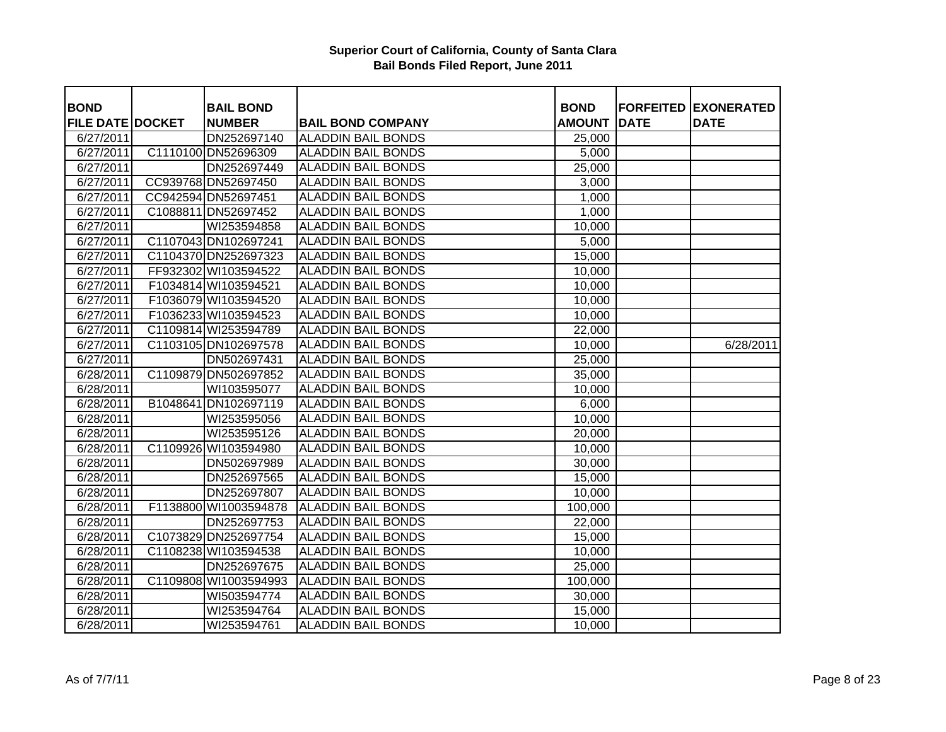| <b>BOND</b>             |          | <b>BAIL BOND</b>      |                           | <b>BOND</b>   |             | <b>FORFEITED EXONERATED</b> |
|-------------------------|----------|-----------------------|---------------------------|---------------|-------------|-----------------------------|
| <b>FILE DATE DOCKET</b> |          | <b>NUMBER</b>         | <b>BAIL BOND COMPANY</b>  | <b>AMOUNT</b> | <b>DATE</b> | <b>DATE</b>                 |
| 6/27/2011               |          | DN252697140           | <b>ALADDIN BAIL BONDS</b> | 25,000        |             |                             |
| 6/27/2011               |          | C1110100 DN52696309   | <b>ALADDIN BAIL BONDS</b> | 5,000         |             |                             |
| 6/27/2011               |          | DN252697449           | <b>ALADDIN BAIL BONDS</b> | 25,000        |             |                             |
| 6/27/2011               |          | CC939768 DN52697450   | <b>ALADDIN BAIL BONDS</b> | 3,000         |             |                             |
| 6/27/2011               |          | CC942594 DN52697451   | <b>ALADDIN BAIL BONDS</b> | 1,000         |             |                             |
| 6/27/2011               |          | C1088811 DN52697452   | <b>ALADDIN BAIL BONDS</b> | 1,000         |             |                             |
| 6/27/2011               |          | WI253594858           | <b>ALADDIN BAIL BONDS</b> | 10,000        |             |                             |
| 6/27/2011               |          | C1107043 DN102697241  | <b>ALADDIN BAIL BONDS</b> | 5,000         |             |                             |
| 6/27/2011               |          | C1104370 DN252697323  | <b>ALADDIN BAIL BONDS</b> | 15,000        |             |                             |
| 6/27/2011               |          | FF932302 WI103594522  | <b>ALADDIN BAIL BONDS</b> | 10,000        |             |                             |
| 6/27/2011               |          | F1034814 WI103594521  | <b>ALADDIN BAIL BONDS</b> | 10,000        |             |                             |
| 6/27/2011               |          | F1036079 WI103594520  | <b>ALADDIN BAIL BONDS</b> | 10,000        |             |                             |
| 6/27/2011               |          | F1036233 WI103594523  | <b>ALADDIN BAIL BONDS</b> | 10,000        |             |                             |
| 6/27/2011               |          | C1109814 WI253594789  | <b>ALADDIN BAIL BONDS</b> | 22,000        |             |                             |
| 6/27/2011               |          | C1103105 DN102697578  | <b>ALADDIN BAIL BONDS</b> | 10,000        |             | 6/28/2011                   |
| 6/27/2011               |          | DN502697431           | <b>ALADDIN BAIL BONDS</b> | 25,000        |             |                             |
| 6/28/2011               |          | C1109879 DN502697852  | <b>ALADDIN BAIL BONDS</b> | 35,000        |             |                             |
| 6/28/2011               |          | WI103595077           | <b>ALADDIN BAIL BONDS</b> | 10,000        |             |                             |
| 6/28/2011               | B1048641 | DN102697119           | <b>ALADDIN BAIL BONDS</b> | 6,000         |             |                             |
| 6/28/2011               |          | WI253595056           | <b>ALADDIN BAIL BONDS</b> | 10,000        |             |                             |
| 6/28/2011               |          | WI253595126           | <b>ALADDIN BAIL BONDS</b> | 20,000        |             |                             |
| 6/28/2011               |          | C1109926 WI103594980  | <b>ALADDIN BAIL BONDS</b> | 10,000        |             |                             |
| 6/28/2011               |          | DN502697989           | <b>ALADDIN BAIL BONDS</b> | 30,000        |             |                             |
| 6/28/2011               |          | DN252697565           | <b>ALADDIN BAIL BONDS</b> | 15,000        |             |                             |
| 6/28/2011               |          | DN252697807           | <b>ALADDIN BAIL BONDS</b> | 10,000        |             |                             |
| 6/28/2011               |          | F1138800 WI1003594878 | <b>ALADDIN BAIL BONDS</b> | 100,000       |             |                             |
| 6/28/2011               |          | DN252697753           | <b>ALADDIN BAIL BONDS</b> | 22,000        |             |                             |
| 6/28/2011               |          | C1073829 DN252697754  | <b>ALADDIN BAIL BONDS</b> | 15,000        |             |                             |
| 6/28/2011               |          | C1108238 WI103594538  | <b>ALADDIN BAIL BONDS</b> | 10,000        |             |                             |
| 6/28/2011               |          | DN252697675           | <b>ALADDIN BAIL BONDS</b> | 25,000        |             |                             |
| 6/28/2011               |          | C1109808 WI1003594993 | <b>ALADDIN BAIL BONDS</b> | 100,000       |             |                             |
| 6/28/2011               |          | WI503594774           | <b>ALADDIN BAIL BONDS</b> | 30,000        |             |                             |
| 6/28/2011               |          | WI253594764           | <b>ALADDIN BAIL BONDS</b> | 15,000        |             |                             |
| 6/28/2011               |          | WI253594761           | <b>ALADDIN BAIL BONDS</b> | 10,000        |             |                             |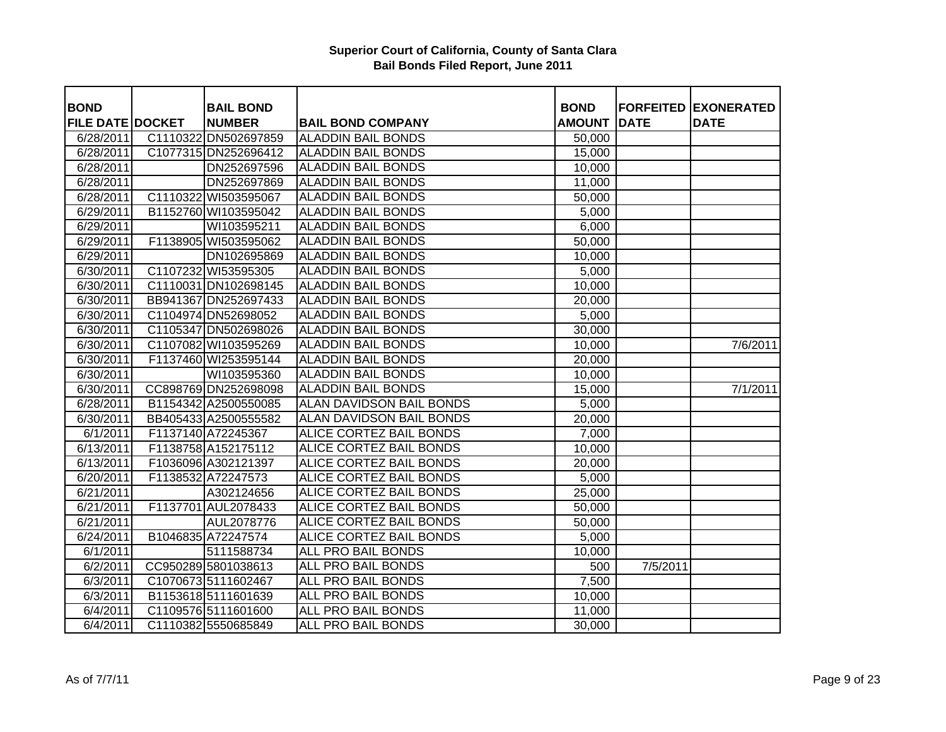| <b>BOND</b>             | <b>BAIL BOND</b>     |                                 | <b>BOND</b>   |             | <b>FORFEITED EXONERATED</b> |
|-------------------------|----------------------|---------------------------------|---------------|-------------|-----------------------------|
| <b>FILE DATE DOCKET</b> | <b>NUMBER</b>        | <b>BAIL BOND COMPANY</b>        | <b>AMOUNT</b> | <b>DATE</b> | <b>DATE</b>                 |
| 6/28/2011               | C1110322 DN502697859 | <b>ALADDIN BAIL BONDS</b>       | 50,000        |             |                             |
| 6/28/2011               | C1077315 DN252696412 | <b>ALADDIN BAIL BONDS</b>       | 15,000        |             |                             |
| 6/28/2011               | DN252697596          | <b>ALADDIN BAIL BONDS</b>       | 10,000        |             |                             |
| 6/28/2011               | DN252697869          | <b>ALADDIN BAIL BONDS</b>       | 11,000        |             |                             |
| 6/28/2011               | C1110322 WI503595067 | <b>ALADDIN BAIL BONDS</b>       | 50,000        |             |                             |
| 6/29/2011               | B1152760 WI103595042 | <b>ALADDIN BAIL BONDS</b>       | 5,000         |             |                             |
| 6/29/2011               | WI103595211          | <b>ALADDIN BAIL BONDS</b>       | 6,000         |             |                             |
| 6/29/2011               | F1138905 WI503595062 | <b>ALADDIN BAIL BONDS</b>       | 50,000        |             |                             |
| 6/29/2011               | DN102695869          | <b>ALADDIN BAIL BONDS</b>       | 10,000        |             |                             |
| 6/30/2011               | C1107232 WI53595305  | <b>ALADDIN BAIL BONDS</b>       | 5,000         |             |                             |
| 6/30/2011               | C1110031 DN102698145 | <b>ALADDIN BAIL BONDS</b>       | 10,000        |             |                             |
| 6/30/2011               | BB941367 DN252697433 | <b>ALADDIN BAIL BONDS</b>       | 20,000        |             |                             |
| 6/30/2011               | C1104974 DN52698052  | <b>ALADDIN BAIL BONDS</b>       | 5,000         |             |                             |
| 6/30/2011               | C1105347 DN502698026 | <b>ALADDIN BAIL BONDS</b>       | 30,000        |             |                             |
| 6/30/2011               | C1107082 WI103595269 | <b>ALADDIN BAIL BONDS</b>       | 10,000        |             | 7/6/2011                    |
| 6/30/2011               | F1137460 WI253595144 | <b>ALADDIN BAIL BONDS</b>       | 20,000        |             |                             |
| 6/30/2011               | WI103595360          | <b>ALADDIN BAIL BONDS</b>       | 10,000        |             |                             |
| 6/30/2011               | CC898769 DN252698098 | <b>ALADDIN BAIL BONDS</b>       | 15,000        |             | 7/1/2011                    |
| 6/28/2011               | B1154342 A2500550085 | <b>ALAN DAVIDSON BAIL BONDS</b> | 5,000         |             |                             |
| 6/30/2011               | BB405433 A2500555582 | <b>ALAN DAVIDSON BAIL BONDS</b> | 20,000        |             |                             |
| 6/1/2011                | F1137140 A72245367   | <b>ALICE CORTEZ BAIL BONDS</b>  | 7,000         |             |                             |
| 6/13/2011               | F1138758 A152175112  | <b>ALICE CORTEZ BAIL BONDS</b>  | 10,000        |             |                             |
| 6/13/2011               | F1036096 A302121397  | <b>ALICE CORTEZ BAIL BONDS</b>  | 20,000        |             |                             |
| 6/20/2011               | F1138532 A72247573   | <b>ALICE CORTEZ BAIL BONDS</b>  | 5,000         |             |                             |
| 6/21/2011               | A302124656           | <b>ALICE CORTEZ BAIL BONDS</b>  | 25,000        |             |                             |
| 6/21/2011               | F1137701 AUL2078433  | <b>ALICE CORTEZ BAIL BONDS</b>  | 50,000        |             |                             |
| 6/21/2011               | AUL2078776           | <b>ALICE CORTEZ BAIL BONDS</b>  | 50,000        |             |                             |
| 6/24/2011               | B1046835 A72247574   | <b>ALICE CORTEZ BAIL BONDS</b>  | 5,000         |             |                             |
| 6/1/2011                | 5111588734           | <b>ALL PRO BAIL BONDS</b>       | 10,000        |             |                             |
| 6/2/2011                | CC950289 5801038613  | <b>ALL PRO BAIL BONDS</b>       | 500           | 7/5/2011    |                             |
| 6/3/2011                | C1070673 5111602467  | ALL PRO BAIL BONDS              | 7,500         |             |                             |
| 6/3/2011                | B1153618 5111601639  | <b>ALL PRO BAIL BONDS</b>       | 10,000        |             |                             |
| 6/4/2011                | C1109576 5111601600  | <b>ALL PRO BAIL BONDS</b>       | 11,000        |             |                             |
| 6/4/2011                | C1110382 5550685849  | <b>ALL PRO BAIL BONDS</b>       | 30,000        |             |                             |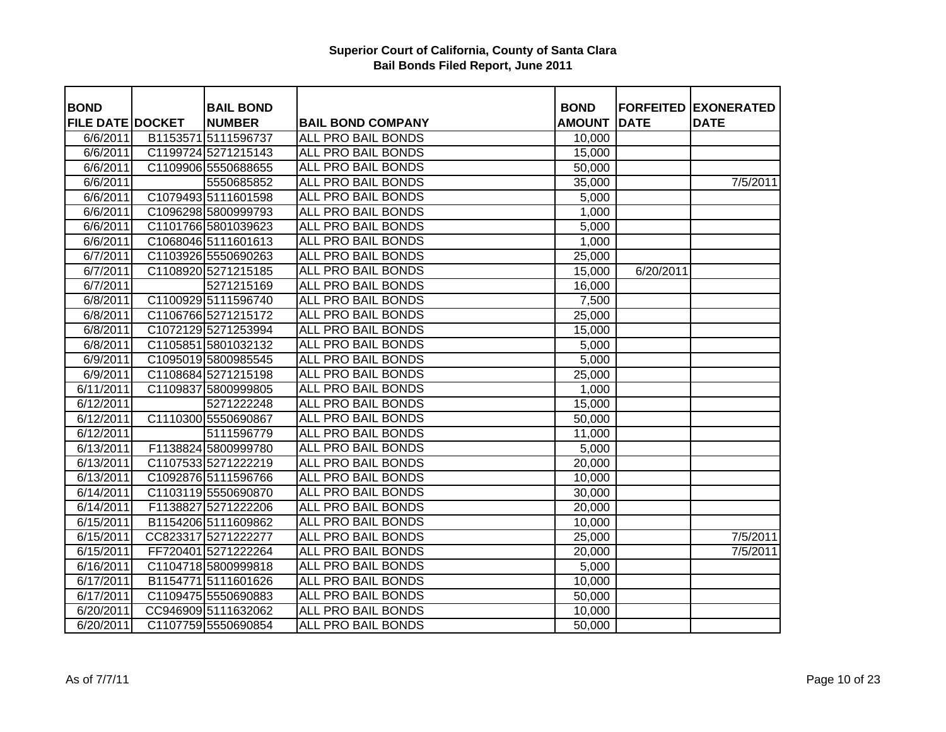| <b>BOND</b>             | <b>BAIL BOND</b>    |                           | <b>BOND</b>        |             | <b>FORFEITED EXONERATED</b> |
|-------------------------|---------------------|---------------------------|--------------------|-------------|-----------------------------|
| <b>FILE DATE DOCKET</b> | <b>NUMBER</b>       | <b>BAIL BOND COMPANY</b>  | <b>AMOUNT</b>      | <b>DATE</b> | <b>DATE</b>                 |
| 6/6/2011                | B1153571 5111596737 | <b>ALL PRO BAIL BONDS</b> | 10,000             |             |                             |
| 6/6/2011                | C1199724 5271215143 | <b>ALL PRO BAIL BONDS</b> | 15,000             |             |                             |
| 6/6/2011                | C1109906 5550688655 | <b>ALL PRO BAIL BONDS</b> | 50,000             |             |                             |
| 6/6/2011                | 5550685852          | <b>ALL PRO BAIL BONDS</b> | 35,000             |             | 7/5/2011                    |
| 6/6/2011                | C1079493 5111601598 | ALL PRO BAIL BONDS        | $\overline{5,000}$ |             |                             |
| 6/6/2011                | C1096298 5800999793 | ALL PRO BAIL BONDS        | 1,000              |             |                             |
| 6/6/2011                | C1101766 5801039623 | ALL PRO BAIL BONDS        | 5,000              |             |                             |
| 6/6/2011                | C1068046 5111601613 | ALL PRO BAIL BONDS        | 1,000              |             |                             |
| $\sqrt{6}/7/2011$       | C1103926 5550690263 | ALL PRO BAIL BONDS        | 25,000             |             |                             |
| 6/7/2011                | C1108920 5271215185 | ALL PRO BAIL BONDS        | 15,000             | 6/20/2011   |                             |
| 6/7/2011                | 5271215169          | <b>ALL PRO BAIL BONDS</b> | 16,000             |             |                             |
| 6/8/2011                | C1100929 5111596740 | ALL PRO BAIL BONDS        | 7,500              |             |                             |
| 6/8/2011                | C1106766 5271215172 | <b>ALL PRO BAIL BONDS</b> | 25,000             |             |                             |
| 6/8/2011                | C1072129 5271253994 | <b>ALL PRO BAIL BONDS</b> | 15,000             |             |                             |
| 6/8/2011                | C1105851 5801032132 | <b>ALL PRO BAIL BONDS</b> | 5,000              |             |                             |
| 6/9/2011                | C1095019 5800985545 | <b>ALL PRO BAIL BONDS</b> | 5,000              |             |                             |
| 6/9/2011                | C1108684 5271215198 | <b>ALL PRO BAIL BONDS</b> | 25,000             |             |                             |
| 6/11/2011               | C1109837 5800999805 | <b>ALL PRO BAIL BONDS</b> | 1,000              |             |                             |
| 6/12/2011               | 5271222248          | <b>ALL PRO BAIL BONDS</b> | 15,000             |             |                             |
| $\sqrt{6}/12/2011$      | C1110300 5550690867 | <b>ALL PRO BAIL BONDS</b> | 50,000             |             |                             |
| 6/12/2011               | 5111596779          | <b>ALL PRO BAIL BONDS</b> | 11,000             |             |                             |
| 6/13/2011               | F1138824 5800999780 | <b>ALL PRO BAIL BONDS</b> | 5,000              |             |                             |
| 6/13/2011               | C1107533 5271222219 | <b>ALL PRO BAIL BONDS</b> | 20,000             |             |                             |
| 6/13/2011               | C1092876 5111596766 | <b>ALL PRO BAIL BONDS</b> | 10,000             |             |                             |
| 6/14/2011               | C1103119 5550690870 | <b>ALL PRO BAIL BONDS</b> | 30,000             |             |                             |
| 6/14/2011               | F1138827 5271222206 | <b>ALL PRO BAIL BONDS</b> | 20,000             |             |                             |
| 6/15/2011               | B1154206 5111609862 | ALL PRO BAIL BONDS        | 10,000             |             |                             |
| 6/15/2011               | CC823317 5271222277 | <b>ALL PRO BAIL BONDS</b> | 25,000             |             | 7/5/2011                    |
| 6/15/2011               | FF720401 5271222264 | <b>ALL PRO BAIL BONDS</b> | 20,000             |             | 7/5/2011                    |
| 6/16/2011               | C1104718 5800999818 | ALL PRO BAIL BONDS        | 5,000              |             |                             |
| 6/17/2011               | B1154771 5111601626 | ALL PRO BAIL BONDS        | 10,000             |             |                             |
| 6/17/2011               | C1109475 5550690883 | ALL PRO BAIL BONDS        | 50,000             |             |                             |
| 6/20/2011               | CC946909 5111632062 | <b>ALL PRO BAIL BONDS</b> | 10,000             |             |                             |
| 6/20/2011               | C1107759 5550690854 | <b>ALL PRO BAIL BONDS</b> | 50,000             |             |                             |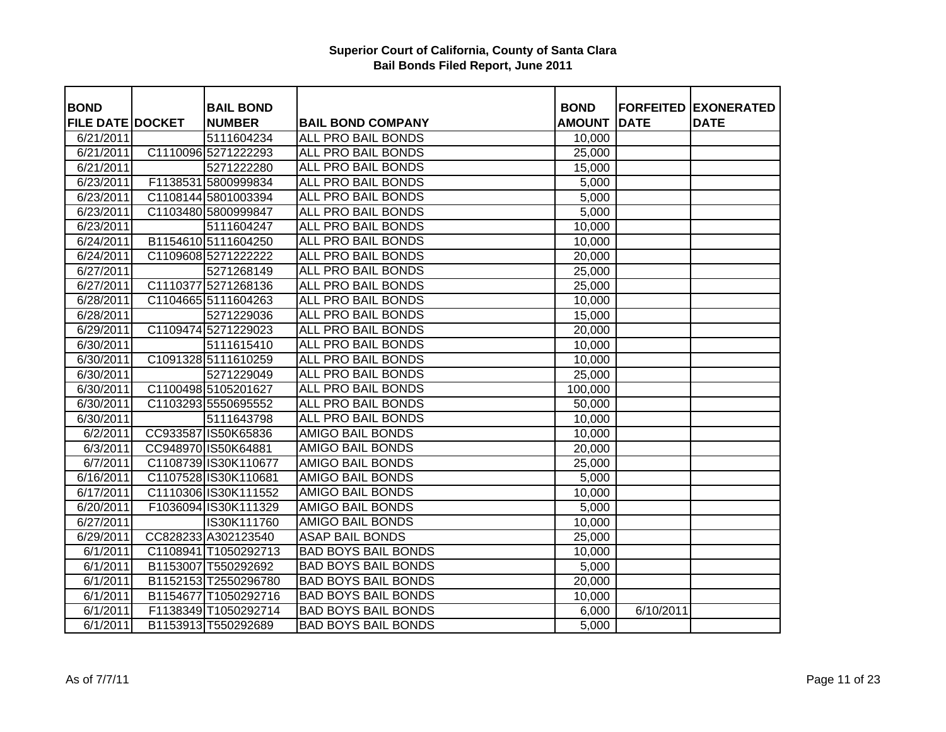| <b>BOND</b>             |          | <b>BAIL BOND</b>     |                            | <b>BOND</b>   |             | <b>FORFEITED EXONERATED</b> |
|-------------------------|----------|----------------------|----------------------------|---------------|-------------|-----------------------------|
| <b>FILE DATE DOCKET</b> |          | <b>NUMBER</b>        | <b>BAIL BOND COMPANY</b>   | <b>AMOUNT</b> | <b>DATE</b> | <b>DATE</b>                 |
| 6/21/2011               |          | 5111604234           | <b>ALL PRO BAIL BONDS</b>  | 10,000        |             |                             |
| 6/21/2011               |          | C1110096 5271222293  | <b>ALL PRO BAIL BONDS</b>  | 25,000        |             |                             |
| 6/21/2011               |          | 5271222280           | <b>ALL PRO BAIL BONDS</b>  | 15,000        |             |                             |
| 6/23/2011               |          | F1138531 5800999834  | <b>ALL PRO BAIL BONDS</b>  | 5,000         |             |                             |
| 6/23/2011               |          | C1108144 5801003394  | ALL PRO BAIL BONDS         | 5,000         |             |                             |
| 6/23/2011               |          | C1103480 5800999847  | ALL PRO BAIL BONDS         | 5,000         |             |                             |
| 6/23/2011               |          | 5111604247           | ALL PRO BAIL BONDS         | 10,000        |             |                             |
| 6/24/2011               |          | B1154610 5111604250  | ALL PRO BAIL BONDS         | 10,000        |             |                             |
| 6/24/2011               |          | C1109608 5271222222  | ALL PRO BAIL BONDS         | 20,000        |             |                             |
| 6/27/2011               |          | 5271268149           | ALL PRO BAIL BONDS         | 25,000        |             |                             |
| 6/27/2011               | C1110377 | 5271268136           | <b>ALL PRO BAIL BONDS</b>  | 25,000        |             |                             |
| 6/28/2011               |          | C1104665 5111604263  | <b>ALL PRO BAIL BONDS</b>  | 10,000        |             |                             |
| 6/28/2011               |          | 5271229036           | <b>ALL PRO BAIL BONDS</b>  | 15,000        |             |                             |
| 6/29/2011               |          | C1109474 5271229023  | <b>ALL PRO BAIL BONDS</b>  | 20,000        |             |                             |
| 6/30/2011               |          | 5111615410           | <b>ALL PRO BAIL BONDS</b>  | 10,000        |             |                             |
| 6/30/2011               |          | C1091328 5111610259  | <b>ALL PRO BAIL BONDS</b>  | 10,000        |             |                             |
| 6/30/2011               |          | 5271229049           | <b>ALL PRO BAIL BONDS</b>  | 25,000        |             |                             |
| 6/30/2011               |          | C1100498 5105201627  | <b>ALL PRO BAIL BONDS</b>  | 100,000       |             |                             |
| 6/30/2011               |          | C1103293 5550695552  | <b>ALL PRO BAIL BONDS</b>  | 50,000        |             |                             |
| 6/30/2011               |          | 5111643798           | <b>ALL PRO BAIL BONDS</b>  | 10,000        |             |                             |
| 6/2/2011                |          | CC933587 IS50K65836  | <b>AMIGO BAIL BONDS</b>    | 10,000        |             |                             |
| 6/3/2011                |          | CC948970 IS50K64881  | <b>AMIGO BAIL BONDS</b>    | 20,000        |             |                             |
| 6/7/2011                |          | C1108739 IS30K110677 | <b>AMIGO BAIL BONDS</b>    | 25,000        |             |                             |
| $\sqrt{6/16/2011}$      |          | C1107528 IS30K110681 | <b>AMIGO BAIL BONDS</b>    | 5,000         |             |                             |
| 6/17/2011               |          | C1110306 IS30K111552 | <b>AMIGO BAIL BONDS</b>    | 10,000        |             |                             |
| 6/20/2011               |          | F1036094 IS30K111329 | <b>AMIGO BAIL BONDS</b>    | 5,000         |             |                             |
| 6/27/2011               |          | IS30K111760          | <b>AMIGO BAIL BONDS</b>    | 10,000        |             |                             |
| 6/29/2011               |          | CC828233 A302123540  | <b>ASAP BAIL BONDS</b>     | 25,000        |             |                             |
| 6/1/2011                |          | C1108941 T1050292713 | <b>BAD BOYS BAIL BONDS</b> | 10,000        |             |                             |
| 6/1/2011                |          | B1153007 T550292692  | <b>BAD BOYS BAIL BONDS</b> | 5,000         |             |                             |
| 6/1/2011                |          | B1152153 T2550296780 | <b>BAD BOYS BAIL BONDS</b> | 20,000        |             |                             |
| 6/1/2011                |          | B1154677 T1050292716 | <b>BAD BOYS BAIL BONDS</b> | 10,000        |             |                             |
| 6/1/2011                |          | F1138349 T1050292714 | <b>BAD BOYS BAIL BONDS</b> | 6,000         | 6/10/2011   |                             |
| 6/1/2011                |          | B1153913 T550292689  | <b>BAD BOYS BAIL BONDS</b> | 5,000         |             |                             |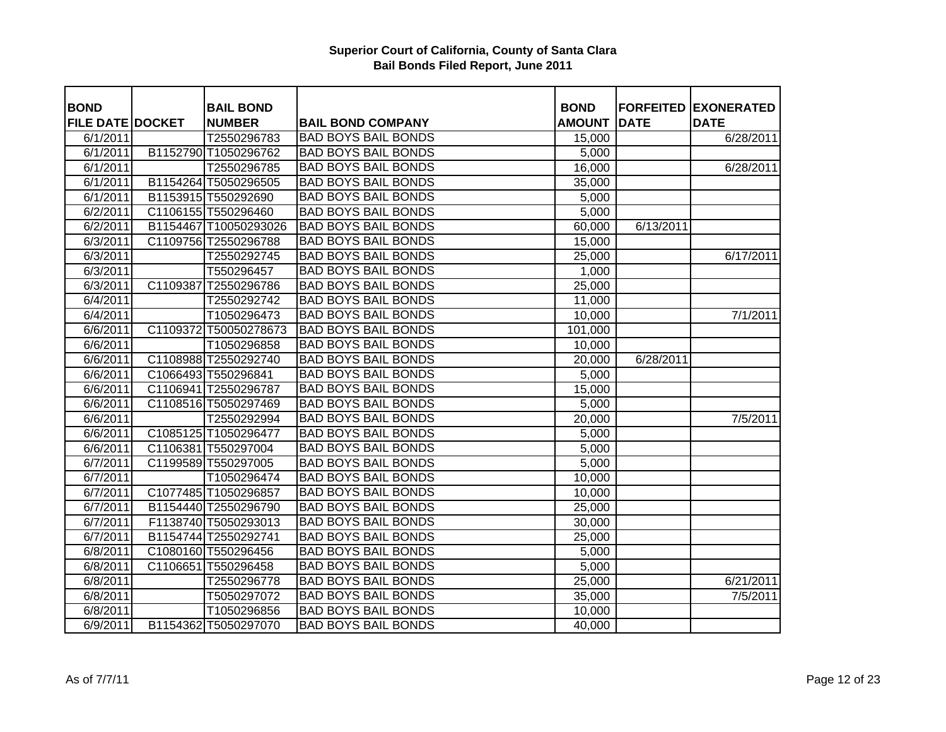| <b>BOND</b>             | <b>BAIL BOND</b>      |                            | <b>BOND</b>   |             | <b>FORFEITED EXONERATED</b> |
|-------------------------|-----------------------|----------------------------|---------------|-------------|-----------------------------|
| <b>FILE DATE DOCKET</b> | <b>NUMBER</b>         | <b>BAIL BOND COMPANY</b>   | <b>AMOUNT</b> | <b>DATE</b> | <b>DATE</b>                 |
| 6/1/2011                | T2550296783           | <b>BAD BOYS BAIL BONDS</b> | 15,000        |             | 6/28/2011                   |
| 6/1/2011                | B1152790 T1050296762  | <b>BAD BOYS BAIL BONDS</b> | 5,000         |             |                             |
| 6/1/2011                | T2550296785           | <b>BAD BOYS BAIL BONDS</b> | 16,000        |             | 6/28/2011                   |
| 6/1/2011                | B1154264 T5050296505  | <b>BAD BOYS BAIL BONDS</b> | 35,000        |             |                             |
| 6/1/2011                | B1153915 T550292690   | <b>BAD BOYS BAIL BONDS</b> | 5,000         |             |                             |
| 6/2/2011                | C1106155 T550296460   | <b>BAD BOYS BAIL BONDS</b> | 5,000         |             |                             |
| 6/2/2011                | B1154467 T10050293026 | <b>BAD BOYS BAIL BONDS</b> | 60,000        | 6/13/2011   |                             |
| 6/3/2011                | C1109756 T2550296788  | <b>BAD BOYS BAIL BONDS</b> | 15,000        |             |                             |
| 6/3/2011                | T2550292745           | <b>BAD BOYS BAIL BONDS</b> | 25,000        |             | 6/17/2011                   |
| 6/3/2011                | T550296457            | <b>BAD BOYS BAIL BONDS</b> | 1,000         |             |                             |
| 6/3/2011                | C1109387 T2550296786  | <b>BAD BOYS BAIL BONDS</b> | 25,000        |             |                             |
| 6/4/2011                | T2550292742           | <b>BAD BOYS BAIL BONDS</b> | 11,000        |             |                             |
| 6/4/2011                | T1050296473           | <b>BAD BOYS BAIL BONDS</b> | 10,000        |             | 7/1/2011                    |
| 6/6/2011                | C1109372 T50050278673 | <b>BAD BOYS BAIL BONDS</b> | 101,000       |             |                             |
| 6/6/2011                | T1050296858           | <b>BAD BOYS BAIL BONDS</b> | 10,000        |             |                             |
| 6/6/2011                | C1108988 T2550292740  | <b>BAD BOYS BAIL BONDS</b> | 20,000        | 6/28/2011   |                             |
| 6/6/2011                | C1066493 T550296841   | <b>BAD BOYS BAIL BONDS</b> | 5,000         |             |                             |
| 6/6/2011                | C1106941 T2550296787  | <b>BAD BOYS BAIL BONDS</b> | 15,000        |             |                             |
| 6/6/2011                | C1108516 T5050297469  | <b>BAD BOYS BAIL BONDS</b> | 5,000         |             |                             |
| 6/6/2011                | T2550292994           | <b>BAD BOYS BAIL BONDS</b> | 20,000        |             | 7/5/2011                    |
| 6/6/2011                | C1085125 T1050296477  | <b>BAD BOYS BAIL BONDS</b> | 5,000         |             |                             |
| 6/6/2011                | C1106381 T550297004   | <b>BAD BOYS BAIL BONDS</b> | 5,000         |             |                             |
| 6/7/2011                | C1199589 T550297005   | <b>BAD BOYS BAIL BONDS</b> | 5,000         |             |                             |
| 6/7/2011                | T1050296474           | <b>BAD BOYS BAIL BONDS</b> | 10,000        |             |                             |
| 6/7/2011                | C1077485 T1050296857  | <b>BAD BOYS BAIL BONDS</b> | 10,000        |             |                             |
| 6/7/2011                | B1154440 T2550296790  | <b>BAD BOYS BAIL BONDS</b> | 25,000        |             |                             |
| 6/7/2011                | F1138740 T5050293013  | <b>BAD BOYS BAIL BONDS</b> | 30,000        |             |                             |
| 6/7/2011                | B1154744 T2550292741  | <b>BAD BOYS BAIL BONDS</b> | 25,000        |             |                             |
| 6/8/2011                | C1080160 T550296456   | <b>BAD BOYS BAIL BONDS</b> | 5,000         |             |                             |
| 6/8/2011                | C1106651 T550296458   | <b>BAD BOYS BAIL BONDS</b> | 5,000         |             |                             |
| 6/8/2011                | T2550296778           | <b>BAD BOYS BAIL BONDS</b> | 25,000        |             | 6/21/2011                   |
| 6/8/2011                | T5050297072           | <b>BAD BOYS BAIL BONDS</b> | 35,000        |             | 7/5/2011                    |
| 6/8/2011                | T1050296856           | <b>BAD BOYS BAIL BONDS</b> | 10,000        |             |                             |
| 6/9/2011                | B1154362 T5050297070  | <b>BAD BOYS BAIL BONDS</b> | 40,000        |             |                             |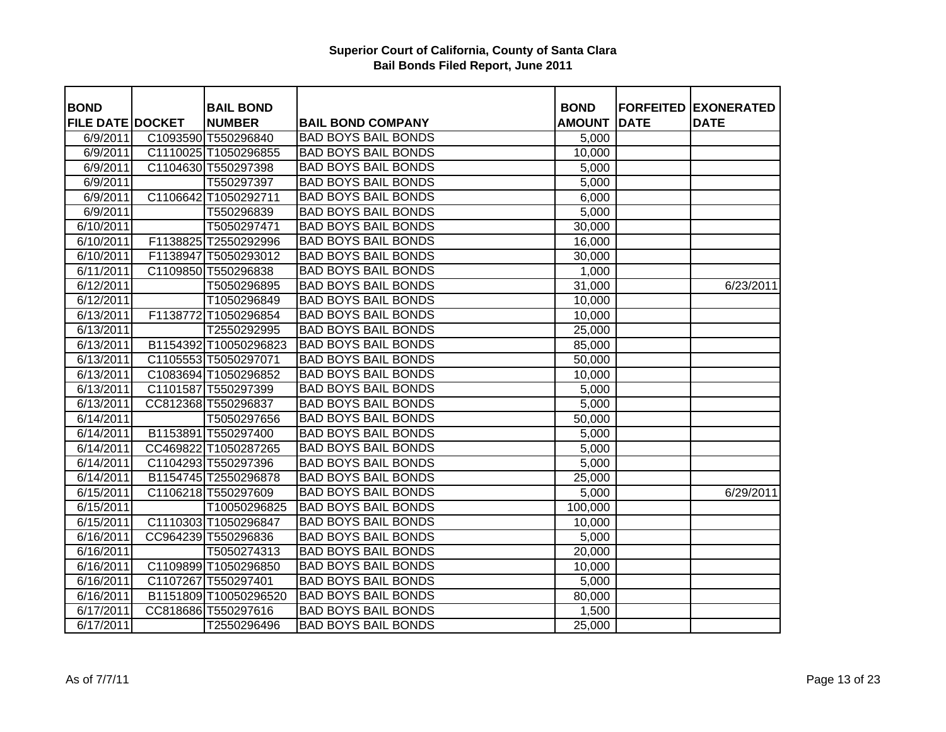| <b>BOND</b>             | <b>BAIL BOND</b>      |                            | <b>BOND</b>   |             | <b>FORFEITED EXONERATED</b> |
|-------------------------|-----------------------|----------------------------|---------------|-------------|-----------------------------|
| <b>FILE DATE DOCKET</b> | <b>NUMBER</b>         | <b>BAIL BOND COMPANY</b>   | <b>AMOUNT</b> | <b>DATE</b> | <b>DATE</b>                 |
| 6/9/2011                | C1093590 T550296840   | <b>BAD BOYS BAIL BONDS</b> | 5,000         |             |                             |
| 6/9/2011                | C1110025 T1050296855  | <b>BAD BOYS BAIL BONDS</b> | 10,000        |             |                             |
| 6/9/2011                | C1104630 T550297398   | <b>BAD BOYS BAIL BONDS</b> | 5,000         |             |                             |
| 6/9/2011                | T550297397            | <b>BAD BOYS BAIL BONDS</b> | 5,000         |             |                             |
| 6/9/2011                | C1106642 T1050292711  | <b>BAD BOYS BAIL BONDS</b> | 6,000         |             |                             |
| 6/9/2011                | T550296839            | <b>BAD BOYS BAIL BONDS</b> | 5,000         |             |                             |
| 6/10/2011               | T5050297471           | <b>BAD BOYS BAIL BONDS</b> | 30,000        |             |                             |
| 6/10/2011               | F1138825 T2550292996  | <b>BAD BOYS BAIL BONDS</b> | 16,000        |             |                             |
| 6/10/2011               | F1138947 T5050293012  | <b>BAD BOYS BAIL BONDS</b> | 30,000        |             |                             |
| 6/11/2011               | C1109850 T550296838   | <b>BAD BOYS BAIL BONDS</b> | 1,000         |             |                             |
| 6/12/2011               | T5050296895           | <b>BAD BOYS BAIL BONDS</b> | 31,000        |             | 6/23/2011                   |
| 6/12/2011               | T1050296849           | <b>BAD BOYS BAIL BONDS</b> | 10,000        |             |                             |
| 6/13/2011               | F1138772 T1050296854  | <b>BAD BOYS BAIL BONDS</b> | 10,000        |             |                             |
| 6/13/2011               | T2550292995           | <b>BAD BOYS BAIL BONDS</b> | 25,000        |             |                             |
| 6/13/2011               | B1154392 T10050296823 | <b>BAD BOYS BAIL BONDS</b> | 85,000        |             |                             |
| 6/13/2011               | C1105553 T5050297071  | <b>BAD BOYS BAIL BONDS</b> | 50,000        |             |                             |
| 6/13/2011               | C1083694 T1050296852  | <b>BAD BOYS BAIL BONDS</b> | 10,000        |             |                             |
| 6/13/2011               | C1101587 T550297399   | <b>BAD BOYS BAIL BONDS</b> | 5,000         |             |                             |
| 6/13/2011               | CC812368 T550296837   | <b>BAD BOYS BAIL BONDS</b> | 5,000         |             |                             |
| 6/14/2011               | T5050297656           | <b>BAD BOYS BAIL BONDS</b> | 50,000        |             |                             |
| 6/14/2011               | B1153891 T550297400   | <b>BAD BOYS BAIL BONDS</b> | 5,000         |             |                             |
| 6/14/2011               | CC469822 T1050287265  | <b>BAD BOYS BAIL BONDS</b> | 5,000         |             |                             |
| 6/14/2011               | C1104293 T550297396   | <b>BAD BOYS BAIL BONDS</b> | 5,000         |             |                             |
| 6/14/2011               | B1154745 T2550296878  | <b>BAD BOYS BAIL BONDS</b> | 25,000        |             |                             |
| 6/15/2011               | C1106218 T550297609   | <b>BAD BOYS BAIL BONDS</b> | 5,000         |             | 6/29/2011                   |
| $\sqrt{6/15/2011}$      | T10050296825          | <b>BAD BOYS BAIL BONDS</b> | 100,000       |             |                             |
| 6/15/2011               | C1110303 T1050296847  | <b>BAD BOYS BAIL BONDS</b> | 10,000        |             |                             |
| 6/16/2011               | CC964239 T550296836   | <b>BAD BOYS BAIL BONDS</b> | 5,000         |             |                             |
| 6/16/2011               | T5050274313           | <b>BAD BOYS BAIL BONDS</b> | 20,000        |             |                             |
| 6/16/2011               | C1109899 T1050296850  | <b>BAD BOYS BAIL BONDS</b> | 10,000        |             |                             |
| 6/16/2011               | C1107267 T550297401   | <b>BAD BOYS BAIL BONDS</b> | 5,000         |             |                             |
| 6/16/2011               | B1151809 T10050296520 | <b>BAD BOYS BAIL BONDS</b> | 80,000        |             |                             |
| 6/17/2011               | CC818686 T550297616   | <b>BAD BOYS BAIL BONDS</b> | 1,500         |             |                             |
| 6/17/2011               | T2550296496           | <b>BAD BOYS BAIL BONDS</b> | 25,000        |             |                             |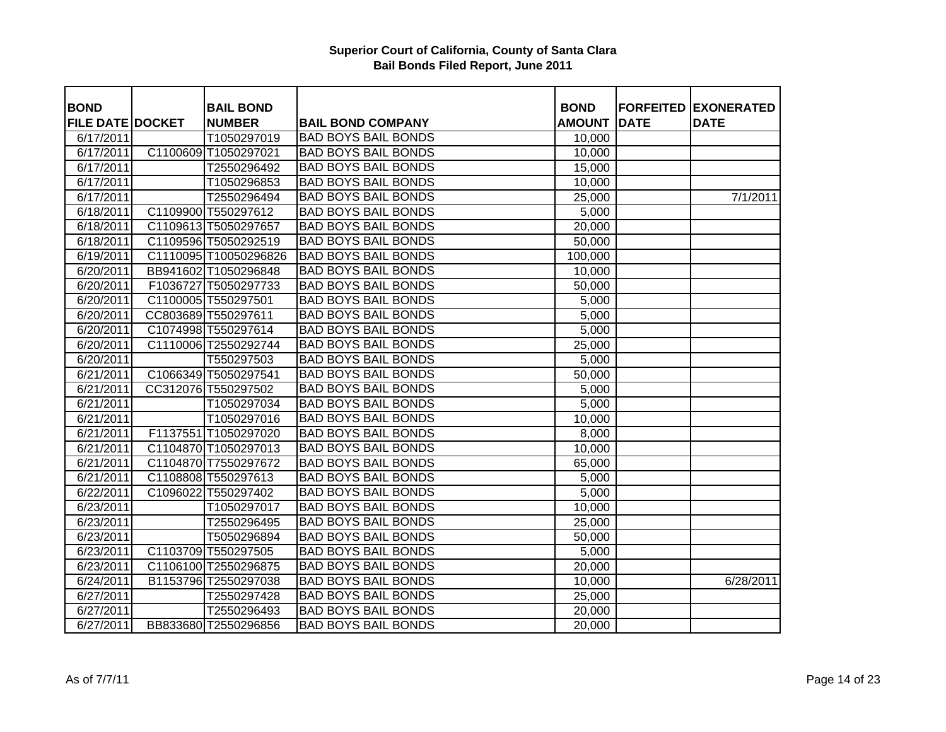| <b>BOND</b>             |          | <b>BAIL BOND</b>      |                            | <b>BOND</b>   |             | <b>FORFEITED EXONERATED</b> |
|-------------------------|----------|-----------------------|----------------------------|---------------|-------------|-----------------------------|
| <b>FILE DATE DOCKET</b> |          | <b>NUMBER</b>         | <b>BAIL BOND COMPANY</b>   | <b>AMOUNT</b> | <b>DATE</b> | <b>DATE</b>                 |
| 6/17/2011               |          | T1050297019           | <b>BAD BOYS BAIL BONDS</b> | 10,000        |             |                             |
| 6/17/2011               |          | C1100609 T1050297021  | <b>BAD BOYS BAIL BONDS</b> | 10,000        |             |                             |
| 6/17/2011               |          | T2550296492           | <b>BAD BOYS BAIL BONDS</b> | 15,000        |             |                             |
| 6/17/2011               |          | T1050296853           | <b>BAD BOYS BAIL BONDS</b> | 10,000        |             |                             |
| 6/17/2011               |          | T2550296494           | <b>BAD BOYS BAIL BONDS</b> | 25,000        |             | 7/1/2011                    |
| 6/18/2011               |          | C1109900 T550297612   | <b>BAD BOYS BAIL BONDS</b> | 5,000         |             |                             |
| 6/18/2011               |          | C1109613 T5050297657  | <b>BAD BOYS BAIL BONDS</b> | 20,000        |             |                             |
| 6/18/2011               |          | C1109596 T5050292519  | <b>BAD BOYS BAIL BONDS</b> | 50,000        |             |                             |
| 6/19/2011               |          | C1110095 T10050296826 | <b>BAD BOYS BAIL BONDS</b> | 100,000       |             |                             |
| 6/20/2011               |          | BB941602 T1050296848  | <b>BAD BOYS BAIL BONDS</b> | 10,000        |             |                             |
| 6/20/2011               |          | F1036727 T5050297733  | <b>BAD BOYS BAIL BONDS</b> | 50,000        |             |                             |
| 6/20/2011               |          | C1100005 T550297501   | <b>BAD BOYS BAIL BONDS</b> | 5,000         |             |                             |
| 6/20/2011               |          | CC803689 T550297611   | <b>BAD BOYS BAIL BONDS</b> | 5,000         |             |                             |
| 6/20/2011               |          | C1074998 T550297614   | <b>BAD BOYS BAIL BONDS</b> | 5,000         |             |                             |
| 6/20/2011               |          | C1110006 T2550292744  | <b>BAD BOYS BAIL BONDS</b> | 25,000        |             |                             |
| 6/20/2011               |          | T550297503            | <b>BAD BOYS BAIL BONDS</b> | 5,000         |             |                             |
| 6/21/2011               |          | C1066349 T5050297541  | <b>BAD BOYS BAIL BONDS</b> | 50,000        |             |                             |
| 6/21/2011               |          | CC312076 T550297502   | <b>BAD BOYS BAIL BONDS</b> | 5,000         |             |                             |
| 6/21/2011               |          | T1050297034           | <b>BAD BOYS BAIL BONDS</b> | 5,000         |             |                             |
| 6/21/2011               |          | T1050297016           | <b>BAD BOYS BAIL BONDS</b> | 10,000        |             |                             |
| 6/21/2011               |          | F1137551 T1050297020  | <b>BAD BOYS BAIL BONDS</b> | 8,000         |             |                             |
| 6/21/2011               |          | C1104870 T1050297013  | <b>BAD BOYS BAIL BONDS</b> | 10,000        |             |                             |
| 6/21/2011               |          | C1104870 T7550297672  | <b>BAD BOYS BAIL BONDS</b> | 65,000        |             |                             |
| 6/21/2011               |          | C1108808 T550297613   | <b>BAD BOYS BAIL BONDS</b> | 5,000         |             |                             |
| 6/22/2011               | C1096022 | T550297402            | <b>BAD BOYS BAIL BONDS</b> | 5,000         |             |                             |
| 6/23/2011               |          | T1050297017           | <b>BAD BOYS BAIL BONDS</b> | 10,000        |             |                             |
| 6/23/2011               |          | T2550296495           | <b>BAD BOYS BAIL BONDS</b> | 25,000        |             |                             |
| 6/23/2011               |          | T5050296894           | <b>BAD BOYS BAIL BONDS</b> | 50,000        |             |                             |
| 6/23/2011               |          | C1103709 T550297505   | <b>BAD BOYS BAIL BONDS</b> | 5,000         |             |                             |
| 6/23/2011               |          | C1106100 T2550296875  | <b>BAD BOYS BAIL BONDS</b> | 20,000        |             |                             |
| 6/24/2011               |          | B1153796 T2550297038  | <b>BAD BOYS BAIL BONDS</b> | 10,000        |             | 6/28/2011                   |
| 6/27/2011               |          | T2550297428           | <b>BAD BOYS BAIL BONDS</b> | 25,000        |             |                             |
| 6/27/2011               |          | T2550296493           | <b>BAD BOYS BAIL BONDS</b> | 20,000        |             |                             |
| 6/27/2011               |          | BB833680 T2550296856  | <b>BAD BOYS BAIL BONDS</b> | 20,000        |             |                             |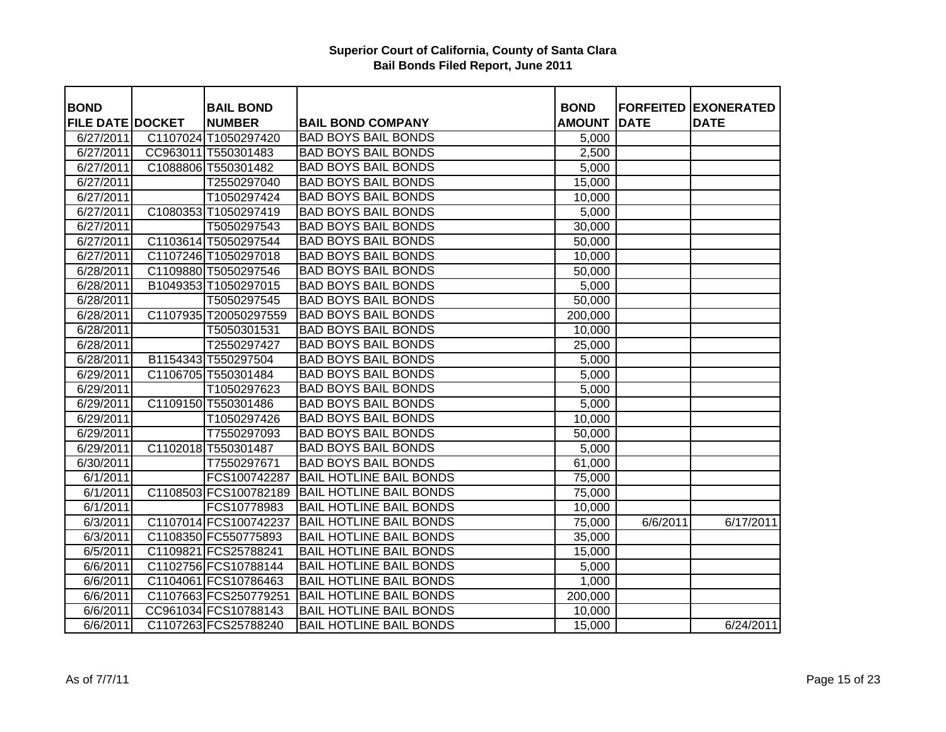| <b>BOND</b>             | <b>BAIL BOND</b>      |                                | <b>BOND</b>         |             | <b>FORFEITED EXONERATED</b> |
|-------------------------|-----------------------|--------------------------------|---------------------|-------------|-----------------------------|
| <b>FILE DATE DOCKET</b> | <b>NUMBER</b>         | <b>BAIL BOND COMPANY</b>       | <b>AMOUNT</b>       | <b>DATE</b> | <b>DATE</b>                 |
| 6/27/2011               | C1107024 T1050297420  | <b>BAD BOYS BAIL BONDS</b>     | 5,000               |             |                             |
| 6/27/2011               | CC963011 T550301483   | <b>BAD BOYS BAIL BONDS</b>     | 2,500               |             |                             |
| 6/27/2011               | C1088806 T550301482   | <b>BAD BOYS BAIL BONDS</b>     | 5,000               |             |                             |
| 6/27/2011               | T2550297040           | <b>BAD BOYS BAIL BONDS</b>     | 15,000              |             |                             |
| 6/27/2011               | T1050297424           | <b>BAD BOYS BAIL BONDS</b>     | 10,000              |             |                             |
| 6/27/2011               | C1080353 T1050297419  | <b>BAD BOYS BAIL BONDS</b>     | 5,000               |             |                             |
| 6/27/2011               | T5050297543           | <b>BAD BOYS BAIL BONDS</b>     | 30,000              |             |                             |
| 6/27/2011               | C1103614 T5050297544  | <b>BAD BOYS BAIL BONDS</b>     | 50,000              |             |                             |
| 6/27/2011               | C1107246 T1050297018  | <b>BAD BOYS BAIL BONDS</b>     | 10,000              |             |                             |
| 6/28/2011               | C1109880 T5050297546  | <b>BAD BOYS BAIL BONDS</b>     | 50,000              |             |                             |
| 6/28/2011               | B1049353 T1050297015  | <b>BAD BOYS BAIL BONDS</b>     | 5,000               |             |                             |
| 6/28/2011               | T5050297545           | <b>BAD BOYS BAIL BONDS</b>     | 50,000              |             |                             |
| 6/28/2011               | C1107935 T20050297559 | <b>BAD BOYS BAIL BONDS</b>     | 200,000             |             |                             |
| 6/28/2011               | T5050301531           | <b>BAD BOYS BAIL BONDS</b>     | 10,000              |             |                             |
| 6/28/2011               | T2550297427           | <b>BAD BOYS BAIL BONDS</b>     | 25,000              |             |                             |
| 6/28/2011               | B1154343 T550297504   | <b>BAD BOYS BAIL BONDS</b>     | 5,000               |             |                             |
| 6/29/2011               | C1106705 T550301484   | <b>BAD BOYS BAIL BONDS</b>     | 5,000               |             |                             |
| 6/29/2011               | T1050297623           | <b>BAD BOYS BAIL BONDS</b>     | 5,000               |             |                             |
| 6/29/2011               | C1109150 T550301486   | <b>BAD BOYS BAIL BONDS</b>     | 5,000               |             |                             |
| 6/29/2011               | T1050297426           | <b>BAD BOYS BAIL BONDS</b>     | 10,000              |             |                             |
| 6/29/2011               | T7550297093           | <b>BAD BOYS BAIL BONDS</b>     | 50,000              |             |                             |
| 6/29/2011               | C1102018 T550301487   | <b>BAD BOYS BAIL BONDS</b>     | 5,000               |             |                             |
| $\sqrt{6}/30/2011$      | T7550297671           | <b>BAD BOYS BAIL BONDS</b>     | 61,000              |             |                             |
| 6/1/2011                | FCS100742287          | <b>BAIL HOTLINE BAIL BONDS</b> | 75,000              |             |                             |
| 6/1/2011                | C1108503 FCS100782189 | <b>BAIL HOTLINE BAIL BONDS</b> | 75,000              |             |                             |
| 6/1/2011                | FCS10778983           | <b>BAIL HOTLINE BAIL BONDS</b> | 10,000              |             |                             |
| 6/3/2011                | C1107014 FCS100742237 | <b>BAIL HOTLINE BAIL BONDS</b> | $\overline{75,000}$ | 6/6/2011    | 6/17/2011                   |
| 6/3/2011                | C1108350 FC550775893  | <b>BAIL HOTLINE BAIL BONDS</b> | 35,000              |             |                             |
| 6/5/2011                | C1109821 FCS25788241  | <b>BAIL HOTLINE BAIL BONDS</b> | 15,000              |             |                             |
| 6/6/2011                | C1102756 FCS10788144  | <b>BAIL HOTLINE BAIL BONDS</b> | 5,000               |             |                             |
| 6/6/2011                | C1104061 FCS10786463  | <b>BAIL HOTLINE BAIL BONDS</b> | 1,000               |             |                             |
| 6/6/2011                | C1107663 FCS250779251 | <b>BAIL HOTLINE BAIL BONDS</b> | 200,000             |             |                             |
| 6/6/2011                | CC961034 FCS10788143  | <b>BAIL HOTLINE BAIL BONDS</b> | 10,000              |             |                             |
| 6/6/2011                | C1107263 FCS25788240  | <b>BAIL HOTLINE BAIL BONDS</b> | 15,000              |             | 6/24/2011                   |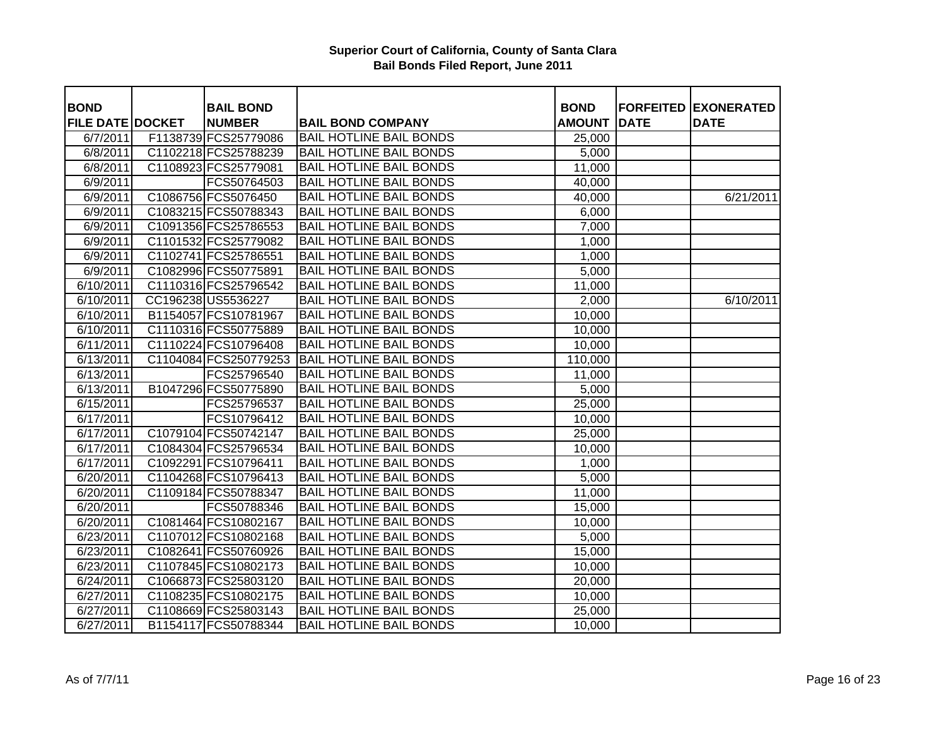|                                        |                                   |                                |                              |             | <b>FORFEITED EXONERATED</b> |
|----------------------------------------|-----------------------------------|--------------------------------|------------------------------|-------------|-----------------------------|
| <b>BOND</b><br><b>FILE DATE DOCKET</b> | <b>BAIL BOND</b><br><b>NUMBER</b> | <b>BAIL BOND COMPANY</b>       | <b>BOND</b><br><b>AMOUNT</b> | <b>DATE</b> | <b>DATE</b>                 |
| 6/7/2011                               | F1138739 FCS25779086              | <b>BAIL HOTLINE BAIL BONDS</b> | 25,000                       |             |                             |
| 6/8/2011                               | C1102218 FCS25788239              | <b>BAIL HOTLINE BAIL BONDS</b> | 5,000                        |             |                             |
| 6/8/2011                               | C1108923 FCS25779081              | <b>BAIL HOTLINE BAIL BONDS</b> | 11,000                       |             |                             |
| 6/9/2011                               | FCS50764503                       | <b>BAIL HOTLINE BAIL BONDS</b> | 40,000                       |             |                             |
| 6/9/2011                               | C1086756 FCS5076450               | <b>BAIL HOTLINE BAIL BONDS</b> | 40,000                       |             | 6/21/2011                   |
| 6/9/2011                               | C1083215 FCS50788343              | <b>BAIL HOTLINE BAIL BONDS</b> | 6,000                        |             |                             |
| 6/9/2011                               | C1091356 FCS25786553              | <b>BAIL HOTLINE BAIL BONDS</b> | 7,000                        |             |                             |
| 6/9/2011                               | C1101532 FCS25779082              | <b>BAIL HOTLINE BAIL BONDS</b> | 1,000                        |             |                             |
| $\sqrt{6}/9/2011$                      | C1102741 FCS25786551              | <b>BAIL HOTLINE BAIL BONDS</b> | 1,000                        |             |                             |
| 6/9/2011                               | C1082996 FCS50775891              | <b>BAIL HOTLINE BAIL BONDS</b> | 5,000                        |             |                             |
| 6/10/2011                              | C1110316 FCS25796542              | <b>BAIL HOTLINE BAIL BONDS</b> | 11,000                       |             |                             |
| 6/10/2011                              | CC196238 US5536227                | <b>BAIL HOTLINE BAIL BONDS</b> | 2,000                        |             | 6/10/2011                   |
| 6/10/2011                              | B1154057 FCS10781967              | <b>BAIL HOTLINE BAIL BONDS</b> | 10,000                       |             |                             |
| 6/10/2011                              | C1110316 FCS50775889              | <b>BAIL HOTLINE BAIL BONDS</b> | 10,000                       |             |                             |
| 6/11/2011                              | C1110224 FCS10796408              | <b>BAIL HOTLINE BAIL BONDS</b> | 10,000                       |             |                             |
| 6/13/2011                              | C1104084 FCS250779253             | <b>BAIL HOTLINE BAIL BONDS</b> | 110,000                      |             |                             |
| 6/13/2011                              | FCS25796540                       | <b>BAIL HOTLINE BAIL BONDS</b> | 11,000                       |             |                             |
| 6/13/2011                              | B1047296 FCS50775890              | <b>BAIL HOTLINE BAIL BONDS</b> | 5,000                        |             |                             |
| 6/15/2011                              | FCS25796537                       | <b>BAIL HOTLINE BAIL BONDS</b> | 25,000                       |             |                             |
| 6/17/2011                              | FCS10796412                       | <b>BAIL HOTLINE BAIL BONDS</b> | 10,000                       |             |                             |
| 6/17/2011                              | C1079104 FCS50742147              | <b>BAIL HOTLINE BAIL BONDS</b> | 25,000                       |             |                             |
| 6/17/2011                              | C1084304 FCS25796534              | <b>BAIL HOTLINE BAIL BONDS</b> | 10,000                       |             |                             |
| 6/17/2011                              | C1092291 FCS10796411              | <b>BAIL HOTLINE BAIL BONDS</b> | 1,000                        |             |                             |
| 6/20/2011                              | C1104268 FCS10796413              | <b>BAIL HOTLINE BAIL BONDS</b> | 5,000                        |             |                             |
| 6/20/2011                              | C1109184 FCS50788347              | <b>BAIL HOTLINE BAIL BONDS</b> | 11,000                       |             |                             |
| 6/20/2011                              | FCS50788346                       | <b>BAIL HOTLINE BAIL BONDS</b> | 15,000                       |             |                             |
| 6/20/2011                              | C1081464 FCS10802167              | <b>BAIL HOTLINE BAIL BONDS</b> | 10,000                       |             |                             |
| 6/23/2011                              | C1107012 FCS10802168              | <b>BAIL HOTLINE BAIL BONDS</b> | 5,000                        |             |                             |
| 6/23/2011                              | C1082641 FCS50760926              | <b>BAIL HOTLINE BAIL BONDS</b> | 15,000                       |             |                             |
| 6/23/2011                              | C1107845 FCS10802173              | <b>BAIL HOTLINE BAIL BONDS</b> | 10,000                       |             |                             |
| 6/24/2011                              | C1066873 FCS25803120              | <b>BAIL HOTLINE BAIL BONDS</b> | 20,000                       |             |                             |
| 6/27/2011                              | C1108235 FCS10802175              | <b>BAIL HOTLINE BAIL BONDS</b> | 10,000                       |             |                             |
| 6/27/2011                              | C1108669 FCS25803143              | <b>BAIL HOTLINE BAIL BONDS</b> | 25,000                       |             |                             |
| 6/27/2011                              | B1154117 FCS50788344              | <b>BAIL HOTLINE BAIL BONDS</b> | 10,000                       |             |                             |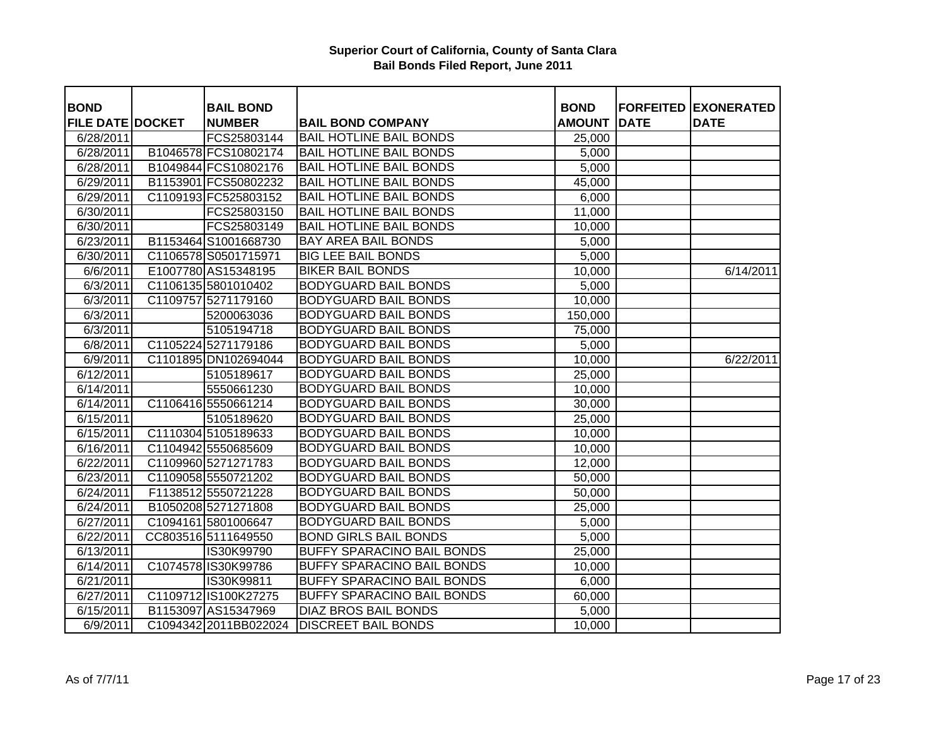| <b>BOND</b>             | <b>BAIL BOND</b>      |                                   | <b>BOND</b>   |             | <b>FORFEITED EXONERATED</b> |
|-------------------------|-----------------------|-----------------------------------|---------------|-------------|-----------------------------|
| <b>FILE DATE DOCKET</b> | <b>NUMBER</b>         | <b>BAIL BOND COMPANY</b>          | <b>AMOUNT</b> | <b>DATE</b> | <b>DATE</b>                 |
| 6/28/2011               | FCS25803144           | <b>BAIL HOTLINE BAIL BONDS</b>    | 25,000        |             |                             |
| 6/28/2011               | B1046578 FCS10802174  | <b>BAIL HOTLINE BAIL BONDS</b>    | 5,000         |             |                             |
| 6/28/2011               | B1049844 FCS10802176  | <b>BAIL HOTLINE BAIL BONDS</b>    | 5,000         |             |                             |
| 6/29/2011               | B1153901 FCS50802232  | <b>BAIL HOTLINE BAIL BONDS</b>    | 45,000        |             |                             |
| 6/29/2011               | C1109193 FC525803152  | <b>BAIL HOTLINE BAIL BONDS</b>    | 6,000         |             |                             |
| 6/30/2011               | FCS25803150           | <b>BAIL HOTLINE BAIL BONDS</b>    | 11,000        |             |                             |
| 6/30/2011               | FCS25803149           | <b>BAIL HOTLINE BAIL BONDS</b>    | 10,000        |             |                             |
| 6/23/2011               | B1153464 S1001668730  | <b>BAY AREA BAIL BONDS</b>        | 5,000         |             |                             |
| 6/30/2011               | C1106578 S0501715971  | <b>BIG LEE BAIL BONDS</b>         | 5,000         |             |                             |
| 6/6/2011                | E1007780 AS15348195   | <b>BIKER BAIL BONDS</b>           | 10,000        |             | 6/14/2011                   |
| 6/3/2011                | C1106135 5801010402   | <b>BODYGUARD BAIL BONDS</b>       | 5,000         |             |                             |
| 6/3/2011                | C1109757 5271179160   | <b>BODYGUARD BAIL BONDS</b>       | 10,000        |             |                             |
| 6/3/2011                | 5200063036            | <b>BODYGUARD BAIL BONDS</b>       | 150,000       |             |                             |
| 6/3/2011                | 5105194718            | <b>BODYGUARD BAIL BONDS</b>       | 75,000        |             |                             |
| 6/8/2011                | C1105224 5271179186   | <b>BODYGUARD BAIL BONDS</b>       | 5,000         |             |                             |
| 6/9/2011                | C1101895 DN102694044  | <b>BODYGUARD BAIL BONDS</b>       | 10,000        |             | 6/22/2011                   |
| 6/12/2011               | 5105189617            | <b>BODYGUARD BAIL BONDS</b>       | 25,000        |             |                             |
| 6/14/2011               | 5550661230            | <b>BODYGUARD BAIL BONDS</b>       | 10,000        |             |                             |
| 6/14/2011               | C1106416 5550661214   | <b>BODYGUARD BAIL BONDS</b>       | 30,000        |             |                             |
| 6/15/2011               | 5105189620            | <b>BODYGUARD BAIL BONDS</b>       | 25,000        |             |                             |
| 6/15/2011               | C1110304 5105189633   | <b>BODYGUARD BAIL BONDS</b>       | 10,000        |             |                             |
| 6/16/2011               | C1104942 5550685609   | <b>BODYGUARD BAIL BONDS</b>       | 10,000        |             |                             |
| 6/22/2011               | C1109960 5271271783   | <b>BODYGUARD BAIL BONDS</b>       | 12,000        |             |                             |
| 6/23/2011               | C1109058 5550721202   | <b>BODYGUARD BAIL BONDS</b>       | 50,000        |             |                             |
| 6/24/2011               | F1138512 5550721228   | <b>BODYGUARD BAIL BONDS</b>       | 50,000        |             |                             |
| 6/24/2011               | B1050208 5271271808   | <b>BODYGUARD BAIL BONDS</b>       | 25,000        |             |                             |
| 6/27/2011               | C1094161 5801006647   | <b>BODYGUARD BAIL BONDS</b>       | 5,000         |             |                             |
| 6/22/2011               | CC803516 5111649550   | <b>BOND GIRLS BAIL BONDS</b>      | 5,000         |             |                             |
| 6/13/2011               | IS30K99790            | <b>BUFFY SPARACINO BAIL BONDS</b> | 25,000        |             |                             |
| 6/14/2011               | C1074578 IS30K99786   | <b>BUFFY SPARACINO BAIL BONDS</b> | 10,000        |             |                             |
| 6/21/2011               | IS30K99811            | <b>BUFFY SPARACINO BAIL BONDS</b> | 6,000         |             |                             |
| $\sqrt{6}/27/2011$      | C1109712 IS100K27275  | <b>BUFFY SPARACINO BAIL BONDS</b> | 60,000        |             |                             |
| 6/15/2011               | B1153097 AS15347969   | <b>DIAZ BROS BAIL BONDS</b>       | 5,000         |             |                             |
| 6/9/2011                | C1094342 2011BB022024 | <b>DISCREET BAIL BONDS</b>        | 10,000        |             |                             |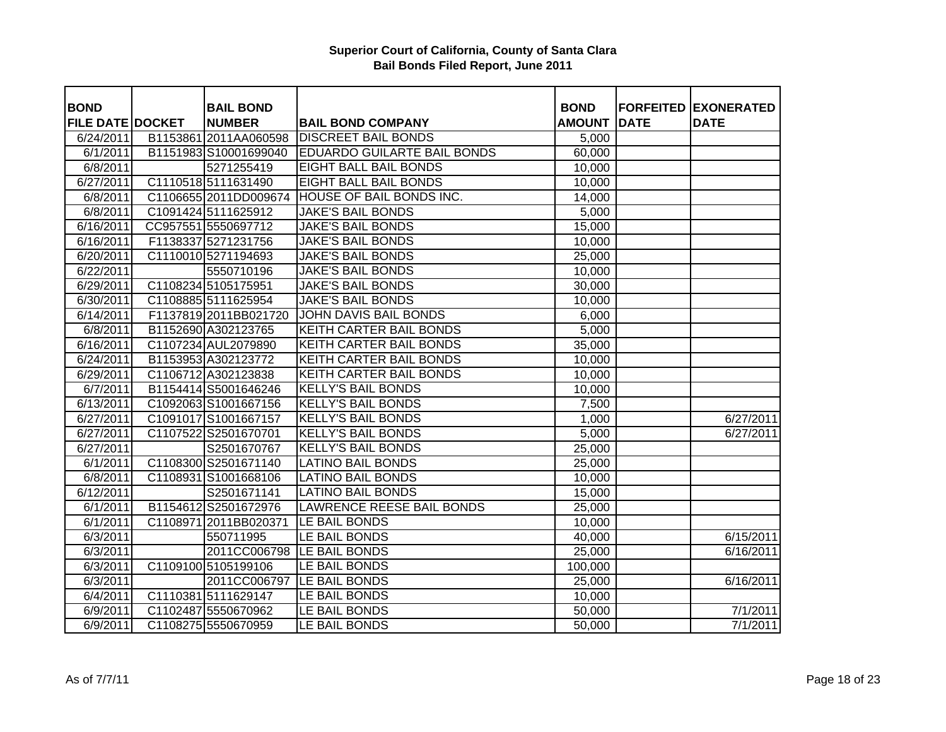| <b>BOND</b>             | <b>BAIL BOND</b>      |                                    | <b>BOND</b>   |             | <b>FORFEITED EXONERATED</b> |
|-------------------------|-----------------------|------------------------------------|---------------|-------------|-----------------------------|
| <b>FILE DATE DOCKET</b> | <b>NUMBER</b>         | <b>BAIL BOND COMPANY</b>           | <b>AMOUNT</b> | <b>DATE</b> | <b>DATE</b>                 |
| 6/24/2011               | B1153861 2011AA060598 | <b>DISCREET BAIL BONDS</b>         | 5,000         |             |                             |
| 6/1/2011                | B1151983 S10001699040 | <b>EDUARDO GUILARTE BAIL BONDS</b> | 60,000        |             |                             |
| 6/8/2011                | 5271255419            | <b>EIGHT BALL BAIL BONDS</b>       | 10,000        |             |                             |
| 6/27/2011               | C1110518 5111631490   | <b>EIGHT BALL BAIL BONDS</b>       | 10,000        |             |                             |
| 6/8/2011                | C1106655 2011DD009674 | <b>HOUSE OF BAIL BONDS INC.</b>    | 14,000        |             |                             |
| 6/8/2011                | C1091424 5111625912   | <b>JAKE'S BAIL BONDS</b>           | 5,000         |             |                             |
| 6/16/2011               | CC957551 5550697712   | <b>JAKE'S BAIL BONDS</b>           | 15,000        |             |                             |
| 6/16/2011               | F1138337 5271231756   | <b>JAKE'S BAIL BONDS</b>           | 10,000        |             |                             |
| 6/20/2011               | C1110010 5271194693   | <b>JAKE'S BAIL BONDS</b>           | 25,000        |             |                             |
| 6/22/2011               | 5550710196            | <b>JAKE'S BAIL BONDS</b>           | 10,000        |             |                             |
| 6/29/2011               | C1108234 5105175951   | <b>JAKE'S BAIL BONDS</b>           | 30,000        |             |                             |
| 6/30/2011               | C1108885 5111625954   | <b>JAKE'S BAIL BONDS</b>           | 10,000        |             |                             |
| 6/14/2011               | F1137819 2011BB021720 | JOHN DAVIS BAIL BONDS              | 6,000         |             |                             |
| 6/8/2011                | B1152690 A302123765   | <b>KEITH CARTER BAIL BONDS</b>     | 5,000         |             |                             |
| 6/16/2011               | C1107234 AUL2079890   | <b>KEITH CARTER BAIL BONDS</b>     | 35,000        |             |                             |
| 6/24/2011               | B1153953 A302123772   | <b>KEITH CARTER BAIL BONDS</b>     | 10,000        |             |                             |
| 6/29/2011               | C1106712 A302123838   | <b>KEITH CARTER BAIL BONDS</b>     | 10,000        |             |                             |
| 6/7/2011                | B1154414 S5001646246  | <b>KELLY'S BAIL BONDS</b>          | 10,000        |             |                             |
| 6/13/2011               | C1092063 S1001667156  | <b>KELLY'S BAIL BONDS</b>          | 7,500         |             |                             |
| 6/27/2011               | C1091017 S1001667157  | <b>KELLY'S BAIL BONDS</b>          | 1,000         |             | 6/27/2011                   |
| 6/27/2011               | C1107522 S2501670701  | <b>KELLY'S BAIL BONDS</b>          | 5,000         |             | 6/27/2011                   |
| 6/27/2011               | S2501670767           | <b>KELLY'S BAIL BONDS</b>          | 25,000        |             |                             |
| 6/1/2011                | C1108300 S2501671140  | <b>LATINO BAIL BONDS</b>           | 25,000        |             |                             |
| 6/8/2011                | C1108931 S1001668106  | <b>LATINO BAIL BONDS</b>           | 10,000        |             |                             |
| 6/12/2011               | S2501671141           | <b>LATINO BAIL BONDS</b>           | 15,000        |             |                             |
| 6/1/2011                | B1154612 S2501672976  | <b>LAWRENCE REESE BAIL BONDS</b>   | 25,000        |             |                             |
| 6/1/2011                | C1108971 2011BB020371 | LE BAIL BONDS                      | 10,000        |             |                             |
| 6/3/2011                | 550711995             | LE BAIL BONDS                      | 40,000        |             | 6/15/2011                   |
| 6/3/2011                | 2011CC006798          | LE BAIL BONDS                      | 25,000        |             | 6/16/2011                   |
| 6/3/2011                | C1109100 5105199106   | LE BAIL BONDS                      | 100,000       |             |                             |
| 6/3/2011                |                       | 2011CC006797 LE BAIL BONDS         | 25,000        |             | 6/16/2011                   |
| 6/4/2011                | C1110381 5111629147   | LE BAIL BONDS                      | 10,000        |             |                             |
| 6/9/2011                | C1102487 5550670962   | LE BAIL BONDS                      | 50,000        |             | 7/1/2011                    |
| 6/9/2011                | C1108275 5550670959   | LE BAIL BONDS                      | 50,000        |             | 7/1/2011                    |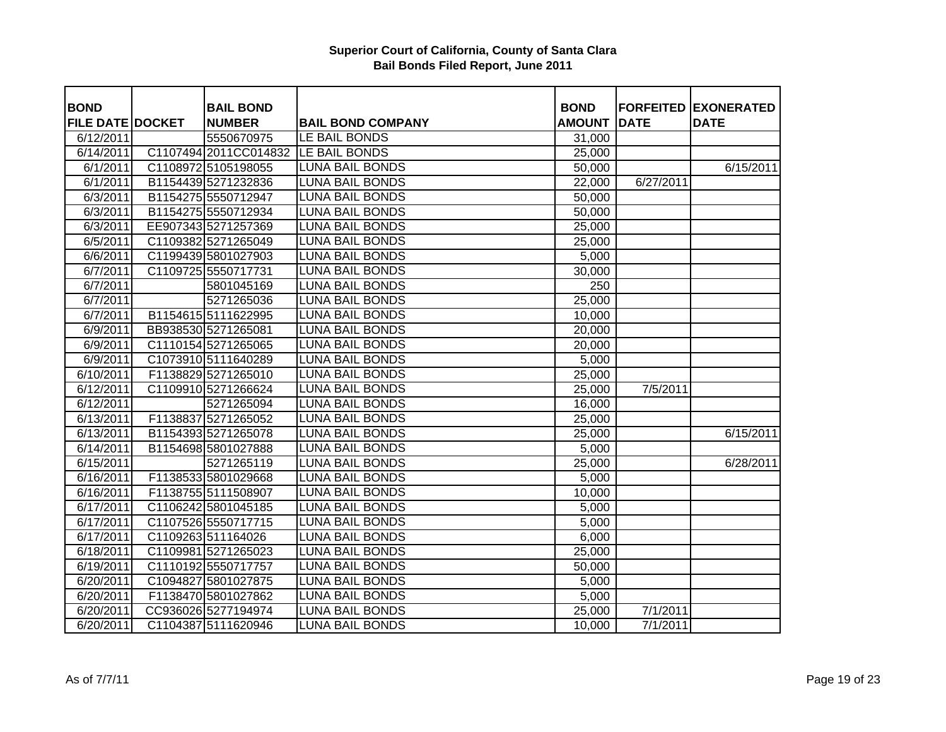| <b>BOND</b>             | <b>BAIL BOND</b>      |                          | <b>BOND</b>   |             | <b>FORFEITED EXONERATED</b> |
|-------------------------|-----------------------|--------------------------|---------------|-------------|-----------------------------|
| <b>FILE DATE DOCKET</b> | <b>NUMBER</b>         | <b>BAIL BOND COMPANY</b> | <b>AMOUNT</b> | <b>DATE</b> | <b>DATE</b>                 |
| 6/12/2011               | 5550670975            | LE BAIL BONDS            | 31,000        |             |                             |
| 6/14/2011               | C1107494 2011CC014832 | LE BAIL BONDS            | 25,000        |             |                             |
| 6/1/2011                | C1108972 5105198055   | <b>LUNA BAIL BONDS</b>   | 50,000        |             | 6/15/2011                   |
| 6/1/2011                | B1154439 5271232836   | <b>LUNA BAIL BONDS</b>   | 22,000        | 6/27/2011   |                             |
| 6/3/2011                | B1154275 5550712947   | <b>LUNA BAIL BONDS</b>   | 50,000        |             |                             |
| 6/3/2011                | B1154275 5550712934   | <b>LUNA BAIL BONDS</b>   | 50,000        |             |                             |
| 6/3/2011                | EE907343 5271257369   | <b>LUNA BAIL BONDS</b>   | 25,000        |             |                             |
| 6/5/2011                | C1109382 5271265049   | <b>LUNA BAIL BONDS</b>   | 25,000        |             |                             |
| 6/6/2011                | C1199439 5801027903   | <b>LUNA BAIL BONDS</b>   | 5,000         |             |                             |
| 6/7/2011                | C1109725 5550717731   | <b>LUNA BAIL BONDS</b>   | 30,000        |             |                             |
| 6/7/2011                | 5801045169            | <b>LUNA BAIL BONDS</b>   | 250           |             |                             |
| 6/7/2011                | 5271265036            | <b>LUNA BAIL BONDS</b>   | 25,000        |             |                             |
| 6/7/2011                | B1154615 5111622995   | <b>LUNA BAIL BONDS</b>   | 10,000        |             |                             |
| 6/9/2011                | BB938530 5271265081   | <b>LUNA BAIL BONDS</b>   | 20,000        |             |                             |
| 6/9/2011                | C1110154 5271265065   | <b>LUNA BAIL BONDS</b>   | 20,000        |             |                             |
| 6/9/2011                | C1073910 5111640289   | <b>LUNA BAIL BONDS</b>   | 5,000         |             |                             |
| 6/10/2011               | F1138829 5271265010   | <b>LUNA BAIL BONDS</b>   | 25,000        |             |                             |
| 6/12/2011               | C1109910 5271266624   | <b>LUNA BAIL BONDS</b>   | 25,000        | 7/5/2011    |                             |
| 6/12/2011               | 5271265094            | <b>LUNA BAIL BONDS</b>   | 16,000        |             |                             |
| 6/13/2011               | F1138837 5271265052   | <b>LUNA BAIL BONDS</b>   | 25,000        |             |                             |
| 6/13/2011               | B1154393 5271265078   | <b>LUNA BAIL BONDS</b>   | 25,000        |             | 6/15/2011                   |
| 6/14/2011               | B1154698 5801027888   | <b>LUNA BAIL BONDS</b>   | 5,000         |             |                             |
| 6/15/2011               | 5271265119            | <b>LUNA BAIL BONDS</b>   | 25,000        |             | 6/28/2011                   |
| 6/16/2011               | F1138533 5801029668   | <b>LUNA BAIL BONDS</b>   | 5,000         |             |                             |
| 6/16/2011               | F1138755 5111508907   | <b>LUNA BAIL BONDS</b>   | 10,000        |             |                             |
| 6/17/2011               | C1106242 5801045185   | <b>LUNA BAIL BONDS</b>   | 5,000         |             |                             |
| 6/17/2011               | C1107526 5550717715   | <b>LUNA BAIL BONDS</b>   | 5,000         |             |                             |
| 6/17/2011               | C1109263 511164026    | <b>LUNA BAIL BONDS</b>   | 6,000         |             |                             |
| 6/18/2011               | C1109981 5271265023   | <b>LUNA BAIL BONDS</b>   | 25,000        |             |                             |
| 6/19/2011               | C1110192 5550717757   | <b>LUNA BAIL BONDS</b>   | 50,000        |             |                             |
| 6/20/2011               | C1094827 5801027875   | <b>LUNA BAIL BONDS</b>   | 5,000         |             |                             |
| 6/20/2011               | F1138470 5801027862   | <b>LUNA BAIL BONDS</b>   | 5,000         |             |                             |
| 6/20/2011               | CC936026 5277194974   | <b>LUNA BAIL BONDS</b>   | 25,000        | 7/1/2011    |                             |
| 6/20/2011               | C1104387 5111620946   | <b>LUNA BAIL BONDS</b>   | 10,000        | 7/1/2011    |                             |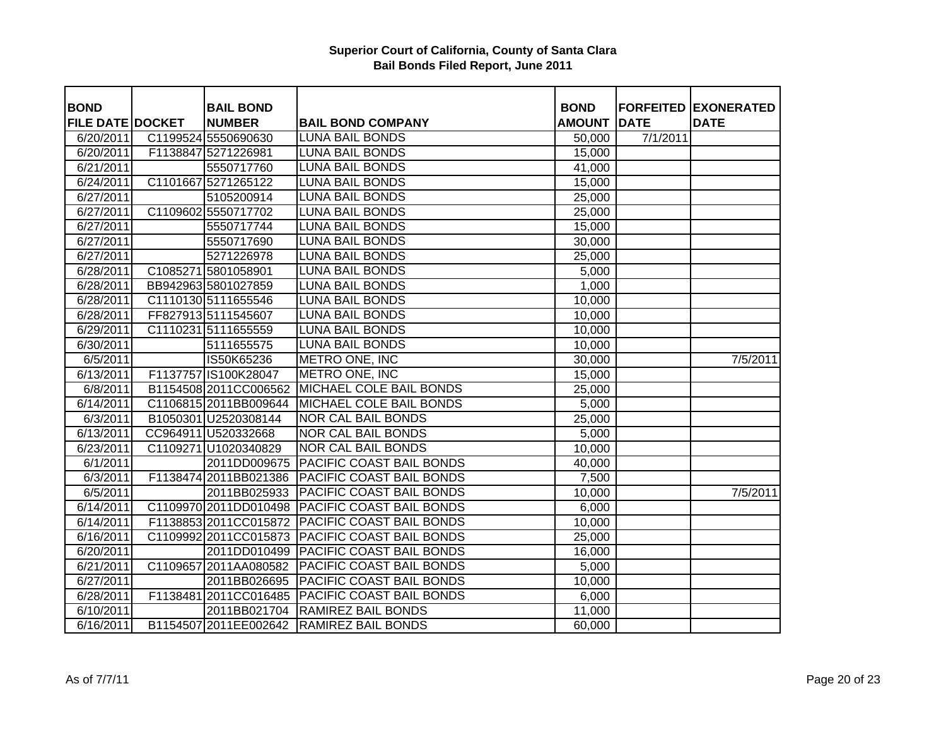| <b>BOND</b>             | <b>BAIL BOND</b>       |                                                 | <b>BOND</b>   |             | <b>FORFEITED EXONERATED</b> |
|-------------------------|------------------------|-------------------------------------------------|---------------|-------------|-----------------------------|
| <b>FILE DATE DOCKET</b> | <b>NUMBER</b>          | <b>BAIL BOND COMPANY</b>                        | <b>AMOUNT</b> | <b>DATE</b> | <b>DATE</b>                 |
| 6/20/2011               | C1199524 5550690630    | <b>LUNA BAIL BONDS</b>                          | 50,000        | 7/1/2011    |                             |
| 6/20/2011               | F1138847 5271226981    | <b>LUNA BAIL BONDS</b>                          | 15,000        |             |                             |
| 6/21/2011               | 5550717760             | <b>LUNA BAIL BONDS</b>                          | 41,000        |             |                             |
| 6/24/2011               | C1101667 5271265122    | <b>LUNA BAIL BONDS</b>                          | 15,000        |             |                             |
| 6/27/2011               | 5105200914             | <b>LUNA BAIL BONDS</b>                          | 25,000        |             |                             |
| 6/27/2011               | C1109602 5550717702    | <b>LUNA BAIL BONDS</b>                          | 25,000        |             |                             |
| 6/27/2011               | 5550717744             | <b>LUNA BAIL BONDS</b>                          | 15,000        |             |                             |
| 6/27/2011               | 5550717690             | <b>LUNA BAIL BONDS</b>                          | 30,000        |             |                             |
| 6/27/2011               | 5271226978             | <b>LUNA BAIL BONDS</b>                          | 25,000        |             |                             |
| 6/28/2011               | C1085271 5801058901    | <b>LUNA BAIL BONDS</b>                          | 5,000         |             |                             |
| 6/28/2011               | BB942963 5801027859    | <b>LUNA BAIL BONDS</b>                          | 1,000         |             |                             |
| 6/28/2011               | C1110130 5111655546    | <b>LUNA BAIL BONDS</b>                          | 10,000        |             |                             |
| 6/28/2011               | FF827913 5111545607    | <b>LUNA BAIL BONDS</b>                          | 10,000        |             |                             |
| 6/29/2011               | C1110231 5111655559    | <b>LUNA BAIL BONDS</b>                          | 10,000        |             |                             |
| 6/30/2011               | 5111655575             | <b>LUNA BAIL BONDS</b>                          | 10,000        |             |                             |
| 6/5/2011                | IS50K65236             | METRO ONE, INC                                  | 30,000        |             | 7/5/2011                    |
| 6/13/2011               | F1137757 IS100K28047   | <b>METRO ONE, INC</b>                           | 15,000        |             |                             |
| 6/8/2011                |                        | B1154508 2011 CC006562 MICHAEL COLE BAIL BONDS  | 25,000        |             |                             |
| 6/14/2011               | C1106815 2011BB009644  | <b>MICHAEL COLE BAIL BONDS</b>                  | 5,000         |             |                             |
| 6/3/2011                | B1050301 U2520308144   | <b>NOR CAL BAIL BONDS</b>                       | 25,000        |             |                             |
| 6/13/2011               | CC964911 U520332668    | <b>NOR CAL BAIL BONDS</b>                       | 5,000         |             |                             |
| 6/23/2011               | C1109271 U1020340829   | <b>NOR CAL BAIL BONDS</b>                       | 10,000        |             |                             |
| 6/1/2011                | 2011DD009675           | <b>PACIFIC COAST BAIL BONDS</b>                 | 40,000        |             |                             |
| 6/3/2011                | F1138474 2011BB021386  | <b>PACIFIC COAST BAIL BONDS</b>                 | 7,500         |             |                             |
| 6/5/2011                | 2011BB025933           | <b>PACIFIC COAST BAIL BONDS</b>                 | 10,000        |             | 7/5/2011                    |
| 6/14/2011               | C1109970 2011DD010498  | <b>PACIFIC COAST BAIL BONDS</b>                 | 6,000         |             |                             |
| 6/14/2011               | F1138853 2011 CC015872 | <b>PACIFIC COAST BAIL BONDS</b>                 | 10,000        |             |                             |
| 6/16/2011               | C1109992 2011CC015873  | <b>PACIFIC COAST BAIL BONDS</b>                 | 25,000        |             |                             |
| 6/20/2011               |                        | 2011DD010499 PACIFIC COAST BAIL BONDS           | 16,000        |             |                             |
| 6/21/2011               | C1109657 2011AA080582  | <b>PACIFIC COAST BAIL BONDS</b>                 | 5,000         |             |                             |
| 6/27/2011               |                        | 2011BB026695   PACIFIC COAST BAIL BONDS         | 10,000        |             |                             |
| 6/28/2011               |                        | F1138481 2011 CC016485 PACIFIC COAST BAIL BONDS | 6,000         |             |                             |
| 6/10/2011               | 2011BB021704           | <b>RAMIREZ BAIL BONDS</b>                       | 11,000        |             |                             |
| 6/16/2011               |                        | B1154507 2011 EE002642 RAMIREZ BAIL BONDS       | 60,000        |             |                             |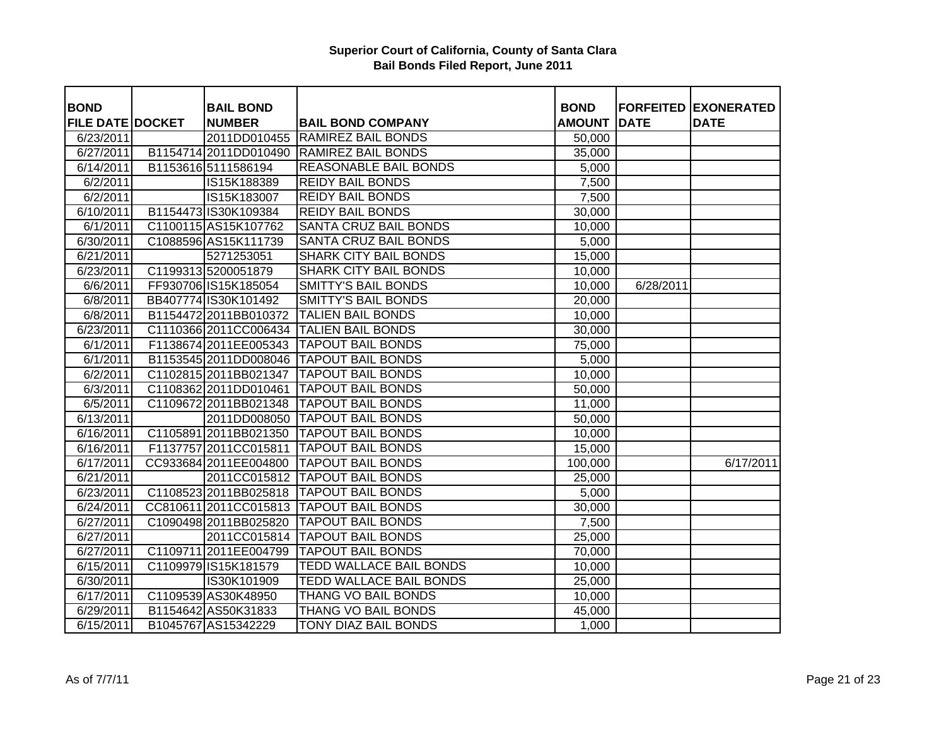| <b>BOND</b>             | <b>BAIL BOND</b>      |                                           | <b>BOND</b>   |             | <b>FORFEITED EXONERATED</b> |
|-------------------------|-----------------------|-------------------------------------------|---------------|-------------|-----------------------------|
| <b>FILE DATE DOCKET</b> | <b>NUMBER</b>         | <b>BAIL BOND COMPANY</b>                  | <b>AMOUNT</b> | <b>DATE</b> | <b>DATE</b>                 |
| 6/23/2011               |                       | 2011DD010455 RAMIREZ BAIL BONDS           | 50,000        |             |                             |
| 6/27/2011               |                       | B1154714 2011DD010490 RAMIREZ BAIL BONDS  | 35,000        |             |                             |
| 6/14/2011               | B1153616 5111586194   | <b>REASONABLE BAIL BONDS</b>              | 5,000         |             |                             |
| 6/2/2011                | IS15K188389           | <b>REIDY BAIL BONDS</b>                   | 7,500         |             |                             |
| 6/2/2011                | IS15K183007           | <b>REIDY BAIL BONDS</b>                   | 7,500         |             |                             |
| 6/10/2011               | B1154473 IS30K109384  | <b>REIDY BAIL BONDS</b>                   | 30,000        |             |                             |
| 6/1/2011                | C1100115 AS15K107762  | SANTA CRUZ BAIL BONDS                     | 10,000        |             |                             |
| 6/30/2011               | C1088596 AS15K111739  | SANTA CRUZ BAIL BONDS                     | 5,000         |             |                             |
| 6/21/2011               | 5271253051            | <b>SHARK CITY BAIL BONDS</b>              | 15,000        |             |                             |
| 6/23/2011               | C1199313 5200051879   | <b>SHARK CITY BAIL BONDS</b>              | 10,000        |             |                             |
| 6/6/2011                | FF930706 IS15K185054  | <b>SMITTY'S BAIL BONDS</b>                | 10,000        | 6/28/2011   |                             |
| 6/8/2011                | BB407774 IS30K101492  | <b>SMITTY'S BAIL BONDS</b>                | 20,000        |             |                             |
| 6/8/2011                | B1154472 2011BB010372 | <b>TALIEN BAIL BONDS</b>                  | 10,000        |             |                             |
| 6/23/2011               | C1110366 2011CC006434 | <b>TALIEN BAIL BONDS</b>                  | 30,000        |             |                             |
| 6/1/2011                | F1138674 2011EE005343 | <b>TAPOUT BAIL BONDS</b>                  | 75,000        |             |                             |
| 6/1/2011                | B1153545 2011DD008046 | <b>TAPOUT BAIL BONDS</b>                  | 5,000         |             |                             |
| 6/2/2011                | C1102815 2011BB021347 | <b>TAPOUT BAIL BONDS</b>                  | 10,000        |             |                             |
| 6/3/2011                | C1108362 2011DD010461 | <b>TAPOUT BAIL BONDS</b>                  | 50,000        |             |                             |
| 6/5/2011                |                       | C1109672 2011BB021348   TAPOUT BAIL BONDS | 11,000        |             |                             |
| 6/13/2011               |                       | 2011DD008050 TAPOUT BAIL BONDS            | 50,000        |             |                             |
| 6/16/2011               |                       | C1105891 2011BB021350 TAPOUT BAIL BONDS   | 10,000        |             |                             |
| 6/16/2011               |                       | F1137757 2011 CC015811 TAPOUT BAIL BONDS  | 15,000        |             |                             |
| 6/17/2011               |                       | CC933684 2011 EE004800 TAPOUT BAIL BONDS  | 100,000       |             | 6/17/2011                   |
| 6/21/2011               |                       | 2011CC015812 TAPOUT BAIL BONDS            | 25,000        |             |                             |
| 6/23/2011               |                       | C1108523 2011BB025818 TAPOUT BAIL BONDS   | 5,000         |             |                             |
| 6/24/2011               |                       | CC810611 2011 CC015813 TAPOUT BAIL BONDS  | 30,000        |             |                             |
| 6/27/2011               | C1090498 2011BB025820 | <b>TAPOUT BAIL BONDS</b>                  | 7,500         |             |                             |
| 6/27/2011               |                       | 2011CC015814 TAPOUT BAIL BONDS            | 25,000        |             |                             |
| 6/27/2011               | C1109711 2011EE004799 | <b>TAPOUT BAIL BONDS</b>                  | 70,000        |             |                             |
| 6/15/2011               | C1109979 IS15K181579  | <b>TEDD WALLACE BAIL BONDS</b>            | 10,000        |             |                             |
| 6/30/2011               | IS30K101909           | <b>TEDD WALLACE BAIL BONDS</b>            | 25,000        |             |                             |
| 6/17/2011               | C1109539 AS30K48950   | THANG VO BAIL BONDS                       | 10,000        |             |                             |
| 6/29/2011               | B1154642 AS50K31833   | <b>THANG VO BAIL BONDS</b>                | 45,000        |             |                             |
| 6/15/2011               | B1045767 AS15342229   | <b>TONY DIAZ BAIL BONDS</b>               | 1,000         |             |                             |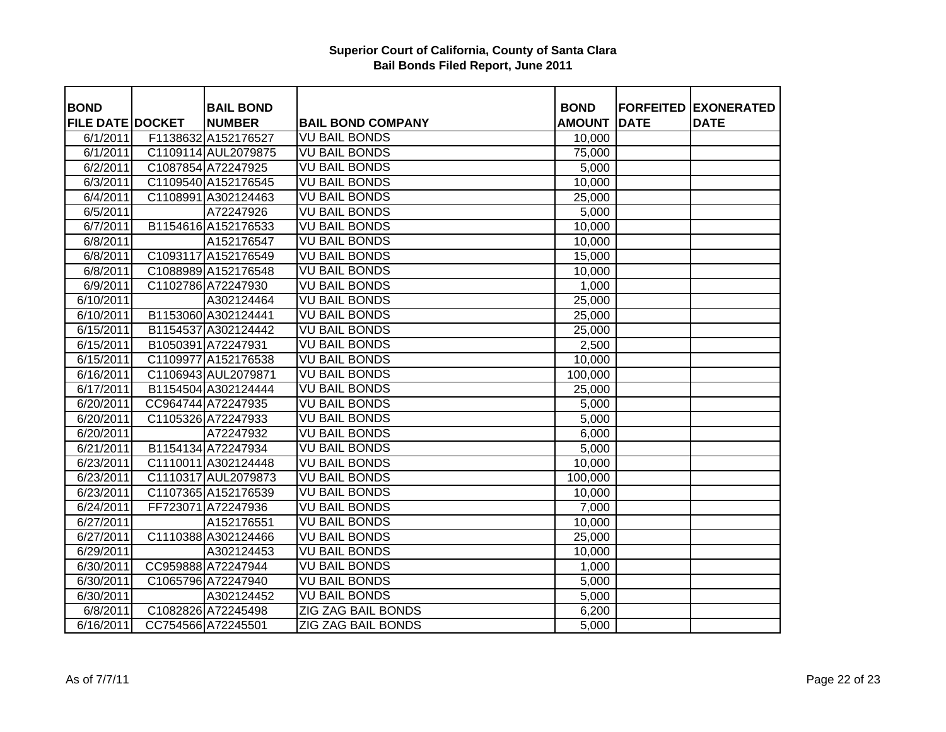| <b>BOND</b>             | <b>BAIL BOND</b>    |                           | <b>BOND</b>   |             | <b>FORFEITED EXONERATED</b> |
|-------------------------|---------------------|---------------------------|---------------|-------------|-----------------------------|
| <b>FILE DATE DOCKET</b> | <b>NUMBER</b>       | <b>BAIL BOND COMPANY</b>  | <b>AMOUNT</b> | <b>DATE</b> | <b>DATE</b>                 |
| 6/1/2011                | F1138632 A152176527 | <b>VU BAIL BONDS</b>      | 10,000        |             |                             |
| 6/1/2011                | C1109114 AUL2079875 | <b>VU BAIL BONDS</b>      | 75,000        |             |                             |
| 6/2/2011                | C1087854 A72247925  | <b>VU BAIL BONDS</b>      | 5,000         |             |                             |
| 6/3/2011                | C1109540 A152176545 | <b>VU BAIL BONDS</b>      | 10,000        |             |                             |
| 6/4/2011                | C1108991 A302124463 | <b>VU BAIL BONDS</b>      | 25,000        |             |                             |
| 6/5/2011                | A72247926           | <b>VU BAIL BONDS</b>      | 5,000         |             |                             |
| 6/7/2011                | B1154616 A152176533 | <b>VU BAIL BONDS</b>      | 10,000        |             |                             |
| 6/8/2011                | A152176547          | <b>VU BAIL BONDS</b>      | 10,000        |             |                             |
| 6/8/2011                | C1093117 A152176549 | <b>VU BAIL BONDS</b>      | 15,000        |             |                             |
| 6/8/2011                | C1088989 A152176548 | <b>VU BAIL BONDS</b>      | 10,000        |             |                             |
| 6/9/2011                | C1102786 A72247930  | <b>VU BAIL BONDS</b>      | 1,000         |             |                             |
| $\sqrt{6/10/2011}$      | A302124464          | <b>VU BAIL BONDS</b>      | 25,000        |             |                             |
| 6/10/2011               | B1153060 A302124441 | <b>VU BAIL BONDS</b>      | 25,000        |             |                             |
| 6/15/2011               | B1154537 A302124442 | <b>VU BAIL BONDS</b>      | 25,000        |             |                             |
| 6/15/2011               | B1050391 A72247931  | <b>VU BAIL BONDS</b>      | 2,500         |             |                             |
| 6/15/2011               | C1109977 A152176538 | <b>VU BAIL BONDS</b>      | 10,000        |             |                             |
| $\sqrt{6}/16/2011$      | C1106943 AUL2079871 | <b>VU BAIL BONDS</b>      | 100,000       |             |                             |
| $\sqrt{6}/17/2011$      | B1154504 A302124444 | <b>VU BAIL BONDS</b>      | 25,000        |             |                             |
| 6/20/2011               | CC964744 A72247935  | <b>VU BAIL BONDS</b>      | 5,000         |             |                             |
| 6/20/2011               | C1105326 A72247933  | <b>VU BAIL BONDS</b>      | 5,000         |             |                             |
| 6/20/2011               | A72247932           | <b>VU BAIL BONDS</b>      | 6,000         |             |                             |
| 6/21/2011               | B1154134 A72247934  | <b>VU BAIL BONDS</b>      | 5,000         |             |                             |
| 6/23/2011               | C1110011 A302124448 | <b>VU BAIL BONDS</b>      | 10,000        |             |                             |
| 6/23/2011               | C1110317 AUL2079873 | <b>VU BAIL BONDS</b>      | 100,000       |             |                             |
| 6/23/2011               | C1107365 A152176539 | <b>VU BAIL BONDS</b>      | 10,000        |             |                             |
| 6/24/2011               | FF723071 A72247936  | <b>VU BAIL BONDS</b>      | 7,000         |             |                             |
| 6/27/2011               | A152176551          | <b>VU BAIL BONDS</b>      | 10,000        |             |                             |
| 6/27/2011               | C1110388 A302124466 | <b>VU BAIL BONDS</b>      | 25,000        |             |                             |
| 6/29/2011               | A302124453          | <b>VU BAIL BONDS</b>      | 10,000        |             |                             |
| 6/30/2011               | CC959888 A72247944  | <b>VU BAIL BONDS</b>      | 1,000         |             |                             |
| 6/30/2011               | C1065796 A72247940  | <b>VU BAIL BONDS</b>      | 5,000         |             |                             |
| 6/30/2011               | A302124452          | <b>VU BAIL BONDS</b>      | 5,000         |             |                             |
| 6/8/2011                | C1082826 A72245498  | <b>ZIG ZAG BAIL BONDS</b> | 6,200         |             |                             |
| 6/16/2011               | CC754566 A72245501  | <b>ZIG ZAG BAIL BONDS</b> | 5,000         |             |                             |